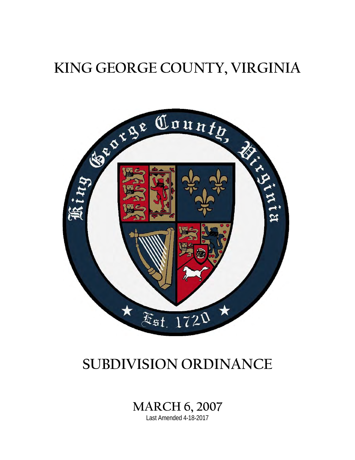# **KING GEORGE COUNTY, VIRGINIA**



# **SUBDIVISION ORDINANCE**

**MARCH 6, 2007**

Last Amended 4-18-2017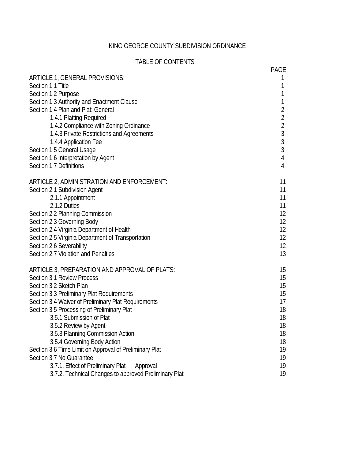# KING GEORGE COUNTY SUBDIVISION ORDINANCE

# TABLE OF CONTENTS

|                                                        | <b>PAGE</b>    |
|--------------------------------------------------------|----------------|
| ARTICLE 1, GENERAL PROVISIONS:                         | 1              |
| Section 1.1 Title                                      | 1              |
| Section 1.2 Purpose                                    | 1              |
| Section 1.3 Authority and Enactment Clause             | 1              |
| Section 1.4 Plan and Plat: General                     | $\overline{2}$ |
| 1.4.1 Platting Required                                | $\overline{2}$ |
| 1.4.2 Compliance with Zoning Ordinance                 | $\overline{2}$ |
| 1.4.3 Private Restrictions and Agreements              | $\mathfrak{Z}$ |
| 1.4.4 Application Fee                                  | $\overline{3}$ |
| Section 1.5 General Usage                              | $\mathfrak{Z}$ |
| Section 1.6 Interpretation by Agent                    | 4              |
| Section 1.7 Definitions                                | 4              |
| ARTICLE 2, ADMINISTRATION AND ENFORCEMENT:             | 11             |
| Section 2.1 Subdivision Agent                          | 11             |
| 2.1.1 Appointment                                      | 11             |
| 2.1.2 Duties                                           | 11             |
| Section 2.2 Planning Commission                        | 12             |
| Section 2.3 Governing Body                             | 12             |
| Section 2.4 Virginia Department of Health              | 12             |
| Section 2.5 Virginia Department of Transportation      | 12             |
| Section 2.6 Severability                               | 12             |
| Section 2.7 Violation and Penalties                    | 13             |
| ARTICLE 3, PREPARATION AND APPROVAL OF PLATS:          | 15             |
| Section 3.1 Review Process                             | 15             |
| Section 3.2 Sketch Plan                                | 15             |
| Section 3.3 Preliminary Plat Requirements              | 15             |
| Section 3.4 Waiver of Preliminary Plat Requirements    | 17             |
| Section 3.5 Processing of Preliminary Plat             | 18             |
| 3.5.1 Submission of Plat                               | 18             |
| 3.5.2 Review by Agent                                  | 18             |
| 3.5.3 Planning Commission Action                       | 18             |
| 3.5.4 Governing Body Action                            | 18             |
| Section 3.6 Time Limit on Approval of Preliminary Plat | 19             |
| Section 3.7 No Guarantee                               | 19             |
| 3.7.1. Effect of Preliminary Plat<br>Approval          | 19             |
| 3.7.2. Technical Changes to approved Preliminary Plat  | 19             |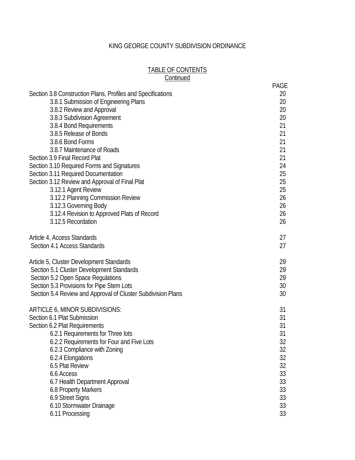# KING GEORGE COUNTY SUBDIVISION ORDINANCE

#### TABLE OF CONTENTS Continued

|                                                              | <b>PAGE</b> |
|--------------------------------------------------------------|-------------|
| Section 3.8 Construction Plans, Profiles and Specifications  | 20          |
| 3.8.1 Submission of Engineering Plans                        | 20          |
| 3.8.2 Review and Approval                                    | 20          |
| 3.8.3 Subdivision Agreement                                  | 20          |
| 3.8.4 Bond Requirements                                      | 21          |
| 3.8.5 Release of Bonds                                       | 21          |
| 3.8.6 Bond Forms                                             | 21          |
| 3.8.7 Maintenance of Roads                                   | 21          |
| Section 3.9 Final Record Plat                                | 21          |
| Section 3.10 Required Forms and Signatures                   | 24          |
| Section 3.11 Required Documentation                          | 25          |
| Section 3.12 Review and Approval of Final Plat               | 25          |
| 3.12.1 Agent Review                                          | 25          |
| 3.12.2 Planning Commission Review                            | 26          |
| 3.12.3 Governing Body                                        | 26          |
| 3.12.4 Revision to Approved Plats of Record                  | 26          |
| 3.12.5 Recordation                                           | 26          |
| Article 4, Access Standards                                  | 27          |
| Section 4.1 Access Standards                                 | 27          |
| Article 5, Cluster Development Standards                     | 29          |
| Section 5.1 Cluster Development Standards                    | 29          |
| Section 5.2 Open Space Regulations                           | 29          |
| Section 5.3 Provisions for Pipe Stem Lots                    | 30          |
| Section 5.4 Review and Approval of Cluster Subdivision Plans | 30          |
| ARTICLE 6, MINOR SUBDIVISIONS:                               | 31          |
| Section 6.1 Plat Submission                                  | 31          |
| Section 6.2 Plat Requirements                                | 31          |
| 6.2.1 Requirements for Three lots                            | 31          |
| 6.2.2 Requirements for Four and Five Lots                    | 32          |
| 6.2.3 Compliance with Zoning                                 | 32          |
| 6.2.4 Elongations                                            | 32          |
| 6.5 Plat Review                                              | 32          |
| 6.6 Access                                                   | 33          |
| 6.7 Health Department Approval                               | 33          |
| 6.8 Property Markers                                         | 33          |
| 6.9 Street Signs                                             | 33          |
| 6.10 Stormwater Drainage                                     | 33          |
| 6.11 Processing                                              | 33          |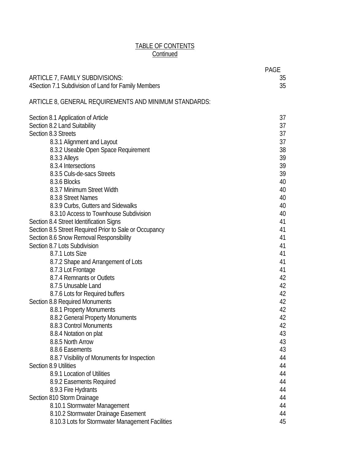# TABLE OF CONTENTS **Continued**

|                                                        | <b>PAGE</b> |
|--------------------------------------------------------|-------------|
| ARTICLE 7, FAMILY SUBDIVISIONS:                        | 35          |
| 4 Section 7.1 Subdivision of Land for Family Members   | 35          |
| ARTICLE 8, GENERAL REQUIREMENTS AND MINIMUM STANDARDS: |             |
| Section 8.1 Application of Article                     | 37          |
| Section 8.2 Land Suitability                           | 37          |
| Section 8.3 Streets                                    | 37          |
| 8.3.1 Alignment and Layout                             | 37          |
| 8.3.2 Useable Open Space Requirement                   | 38          |
| 8.3.3 Alleys                                           | 39          |
| 8.3.4 Intersections                                    | 39          |
| 8.3.5 Culs-de-sacs Streets                             | 39          |
| 8.3.6 Blocks                                           | 40          |
| 8.3.7 Minimum Street Width                             | 40          |
| 8.3.8 Street Names                                     | 40          |
| 8.3.9 Curbs, Gutters and Sidewalks                     | 40          |
| 8.3.10 Access to Townhouse Subdivision                 | 40          |
| Section 8.4 Street Identification Signs                | 41          |
| Section 8.5 Street Required Prior to Sale or Occupancy | 41          |
| Section 8.6 Snow Removal Responsibility                | 41          |
| Section 8.7 Lots Subdivision                           | 41          |
| 8.7.1 Lots Size                                        | 41          |
| 8.7.2 Shape and Arrangement of Lots                    | 41          |
| 8.7.3 Lot Frontage                                     | 41          |
| 8.7.4 Remnants or Outlets                              | 42          |
| 8.7.5 Unusable Land                                    | 42          |
| 8.7.6 Lots for Required buffers                        | 42          |
| Section 8.8 Required Monuments                         | 42          |
| 8.8.1 Property Monuments                               | 42          |
| 8.8.2 General Property Monuments                       | 42          |
| 8.8.3 Control Monuments                                | 42          |
| 8.8.4 Notation on plat                                 | 43          |
| 8.8.5 North Arrow                                      | 43          |
| 8.8.6 Easements                                        | 43          |
| 8.8.7 Visibility of Monuments for Inspection           | 44          |
| Section 8.9 Utilities                                  | 44          |
| 8.9.1 Location of Utilities                            | 44          |
| 8.9.2 Easements Required                               | 44          |
| 8.9.3 Fire Hydrants                                    | 44          |
| Section 810 Storm Drainage                             | 44          |
| 8.10.1 Stormwater Management                           | 44<br>44    |
| 8.10.2 Stormwater Drainage Easement                    | 45          |
| 8.10.3 Lots for Stormwater Management Facilities       |             |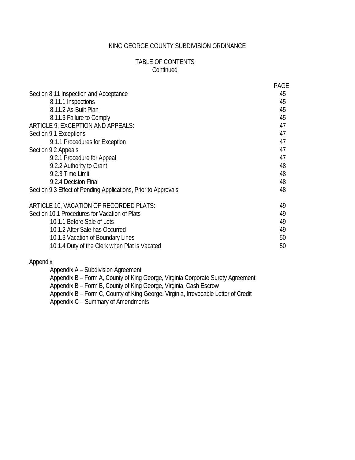# KING GEORGE COUNTY SUBDIVISION ORDINANCE

#### TABLE OF CONTENTS **Continued**

|                                                                | <b>PAGE</b> |
|----------------------------------------------------------------|-------------|
| Section 8.11 Inspection and Acceptance                         | 45          |
| 8.11.1 Inspections                                             | 45          |
| 8.11.2 As-Built Plan                                           | 45          |
| 8.11.3 Failure to Comply                                       | 45          |
| ARTICLE 9, EXCEPTION AND APPEALS:                              | 47          |
| Section 9.1 Exceptions                                         | 47          |
| 9.1.1 Procedures for Exception                                 | 47          |
| Section 9.2 Appeals                                            | 47          |
| 9.2.1 Procedure for Appeal                                     | 47          |
| 9.2.2 Authority to Grant                                       | 48          |
| 9.2.3 Time Limit                                               | 48          |
| 9.2.4 Decision Final                                           | 48          |
| Section 9.3 Effect of Pending Applications, Prior to Approvals | 48          |
| ARTICLE 10, VACATION OF RECORDED PLATS:                        | 49          |
| Section 10.1 Procedures for Vacation of Plats                  | 49          |
| 10.1.1 Before Sale of Lots                                     | 49          |
| 10.1.2 After Sale has Occurred                                 | 49          |
| 10.1.3 Vacation of Boundary Lines                              | 50          |
| 10.1.4 Duty of the Clerk when Plat is Vacated                  | 50          |

#### Appendix

Appendix A – Subdivision Agreement Appendix B – Form A, County of King George, Virginia Corporate Surety Agreement Appendix B – Form B, County of King George, Virginia, Cash Escrow Appendix B – Form C, County of King George, Virginia, Irrevocable Letter of Credit Appendix C – Summary of Amendments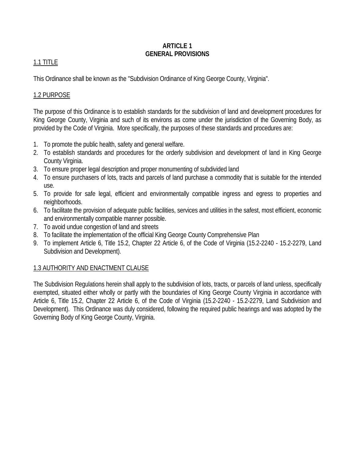#### **ARTICLE 1 GENERAL PROVISIONS**

# 1.1 TITLE

This Ordinance shall be known as the "Subdivision Ordinance of King George County, Virginia".

# 1.2 PURPOSE

The purpose of this Ordinance is to establish standards for the subdivision of land and development procedures for King George County, Virginia and such of its environs as come under the jurisdiction of the Governing Body, as provided by the Code of Virginia. More specifically, the purposes of these standards and procedures are:

- 1. To promote the public health, safety and general welfare.
- 2. To establish standards and procedures for the orderly subdivision and development of land in King George County Virginia.
- 3. To ensure proper legal description and proper monumenting of subdivided land
- 4. To ensure purchasers of lots, tracts and parcels of land purchase a commodity that is suitable for the intended use.
- 5. To provide for safe legal, efficient and environmentally compatible ingress and egress to properties and neighborhoods.
- 6. To facilitate the provision of adequate public facilities, services and utilities in the safest, most efficient, economic and environmentally compatible manner possible.
- 7. To avoid undue congestion of land and streets
- 8. To facilitate the implementation of the official King George County Comprehensive Plan
- 9. To implement Article 6, Title 15.2, Chapter 22 Article 6, of the Code of Virginia (15.2-2240 15.2-2279, Land Subdivision and Development).

# 1.3 AUTHORITY AND ENACTMENT CLAUSE

The Subdivision Regulations herein shall apply to the subdivision of lots, tracts, or parcels of land unless, specifically exempted, situated either wholly or partly with the boundaries of King George County Virginia in accordance with Article 6, Title 15.2, Chapter 22 Article 6, of the Code of Virginia (15.2-2240 - 15.2-2279, Land Subdivision and Development). This Ordinance was duly considered, following the required public hearings and was adopted by the Governing Body of King George County, Virginia.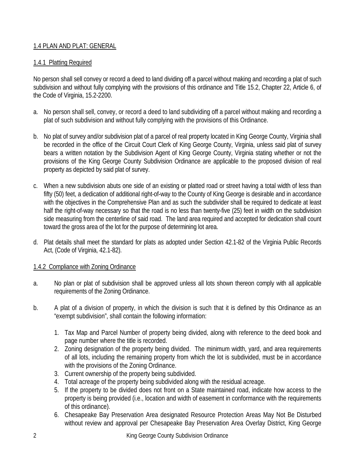# 1.4 PLAN AND PLAT: GENERAL

# 1.4.1 Platting Required

No person shall sell convey or record a deed to land dividing off a parcel without making and recording a plat of such subdivision and without fully complying with the provisions of this ordinance and Title 15.2, Chapter 22, Article 6, of the Code of Virginia, 15.2-2200.

- a. No person shall sell, convey, or record a deed to land subdividing off a parcel without making and recording a plat of such subdivision and without fully complying with the provisions of this Ordinance.
- b. No plat of survey and/or subdivision plat of a parcel of real property located in King George County, Virginia shall be recorded in the office of the Circuit Court Clerk of King George County, Virginia, unless said plat of survey bears a written notation by the Subdivision Agent of King George County, Virginia stating whether or not the provisions of the King George County Subdivision Ordinance are applicable to the proposed division of real property as depicted by said plat of survey.
- c. When a new subdivision abuts one side of an existing or platted road or street having a total width of less than fifty (50) feet, a dedication of additional right-of-way to the County of King George is desirable and in accordance with the objectives in the Comprehensive Plan and as such the subdivider shall be required to dedicate at least half the right-of-way necessary so that the road is no less than twenty-five (25) feet in width on the subdivision side measuring from the centerline of said road. The land area required and accepted for dedication shall count toward the gross area of the lot for the purpose of determining lot area.
- d. Plat details shall meet the standard for plats as adopted under Section 42.1-82 of the Virginia Public Records Act, (Code of Virginia, 42.1-82).

#### 1.4.2 Compliance with Zoning Ordinance

- a. No plan or plat of subdivision shall be approved unless all lots shown thereon comply with all applicable requirements of the Zoning Ordinance.
- b. A plat of a division of property, in which the division is such that it is defined by this Ordinance as an "exempt subdivision", shall contain the following information:
	- 1. Tax Map and Parcel Number of property being divided, along with reference to the deed book and page number where the title is recorded.
	- 2. Zoning designation of the property being divided. The minimum width, yard, and area requirements of all lots, including the remaining property from which the lot is subdivided, must be in accordance with the provisions of the Zoning Ordinance.
	- 3. Current ownership of the property being subdivided.
	- 4. Total acreage of the property being subdivided along with the residual acreage.
	- 5. If the property to be divided does not front on a State maintained road, indicate how access to the property is being provided (i.e., location and width of easement in conformance with the requirements of this ordinance).
	- 6. Chesapeake Bay Preservation Area designated Resource Protection Areas May Not Be Disturbed without review and approval per Chesapeake Bay Preservation Area Overlay District, King George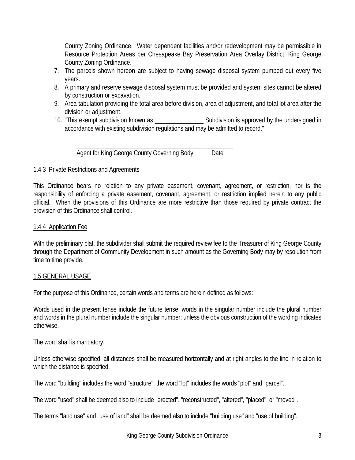County Zoning Ordinance. Water dependent facilities and/or redevelopment may be permissible in Resource Protection Areas per Chesapeake Bay Preservation Area Overlay District, King George County Zoning Ordinance.

- 7. The parcels shown hereon are subject to having sewage disposal system pumped out every five years.
- 8. A primary and reserve sewage disposal system must be provided and system sites cannot be altered by construction or excavation.
- 9. Area tabulation providing the total area before division, area of adjustment, and total lot area after the division or adjustment.
- 10. "This exempt subdivision known as Subdivision is approved by the undersigned in accordance with existing subdivision regulations and may be admitted to record."

 $\frac{1}{\sqrt{2}}$  ,  $\frac{1}{\sqrt{2}}$  ,  $\frac{1}{\sqrt{2}}$  ,  $\frac{1}{\sqrt{2}}$  ,  $\frac{1}{\sqrt{2}}$  ,  $\frac{1}{\sqrt{2}}$  ,  $\frac{1}{\sqrt{2}}$  ,  $\frac{1}{\sqrt{2}}$  ,  $\frac{1}{\sqrt{2}}$  ,  $\frac{1}{\sqrt{2}}$  ,  $\frac{1}{\sqrt{2}}$  ,  $\frac{1}{\sqrt{2}}$  ,  $\frac{1}{\sqrt{2}}$  ,  $\frac{1}{\sqrt{2}}$  ,  $\frac{1}{\sqrt{2}}$ Agent for King George County Governing Body Date

# 1.4.3 Private Restrictions and Agreements

This Ordinance bears no relation to any private easement, covenant, agreement, or restriction, nor is the responsibility of enforcing a private easement, covenant, agreement, or restriction implied herein to any public official. When the provisions of this Ordinance are more restrictive than those required by private contract the provision of this Ordinance shall control.

# 1.4.4 Application Fee

With the preliminary plat, the subdivider shall submit the required review fee to the Treasurer of King George County through the Department of Community Development in such amount as the Governing Body may by resolution from time to time provide.

#### 1.5 GENERAL USAGE

For the purpose of this Ordinance, certain words and terms are herein defined as follows:

Words used in the present tense include the future tense; words in the singular number include the plural number and words in the plural number include the singular number; unless the obvious construction of the wording indicates otherwise.

The word shall is mandatory.

Unless otherwise specified, all distances shall be measured horizontally and at right angles to the line in relation to which the distance is specified.

The word "building" includes the word "structure"; the word "lot" includes the words "plot" and "parcel".

The word "used" shall be deemed also to include "erected", "reconstructed", "altered", "placed", or "moved".

The terms "land use" and "use of land" shall be deemed also to include "building use" and "use of building".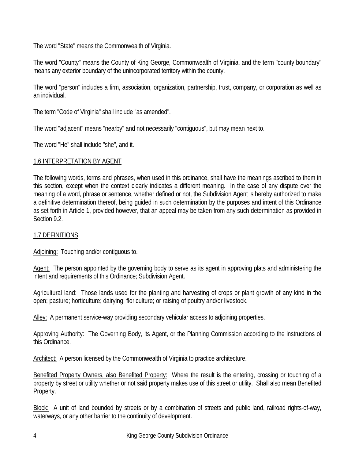The word "State" means the Commonwealth of Virginia.

The word "County" means the County of King George, Commonwealth of Virginia, and the term "county boundary" means any exterior boundary of the unincorporated territory within the county.

The word "person" includes a firm, association, organization, partnership, trust, company, or corporation as well as an individual.

The term "Code of Virginia" shall include "as amended".

The word "adjacent" means "nearby" and not necessarily "contiguous", but may mean next to.

The word "He" shall include "she", and it.

# 1.6 INTERPRETATION BY AGENT

The following words, terms and phrases, when used in this ordinance, shall have the meanings ascribed to them in this section, except when the context clearly indicates a different meaning. In the case of any dispute over the meaning of a word, phrase or sentence, whether defined or not, the Subdivision Agent is hereby authorized to make a definitive determination thereof, being guided in such determination by the purposes and intent of this Ordinance as set forth in Article 1, provided however, that an appeal may be taken from any such determination as provided in Section 9.2.

# 1.7 DEFINITIONS

Adjoining: Touching and/or contiguous to.

Agent: The person appointed by the governing body to serve as its agent in approving plats and administering the intent and requirements of this Ordinance; Subdivision Agent.

Agricultural land: Those lands used for the planting and harvesting of crops or plant growth of any kind in the open; pasture; horticulture; dairying; floriculture; or raising of poultry and/or livestock.

Alley: A permanent service-way providing secondary vehicular access to adjoining properties.

Approving Authority: The Governing Body, its Agent, or the Planning Commission according to the instructions of this Ordinance.

Architect: A person licensed by the Commonwealth of Virginia to practice architecture.

Benefited Property Owners, also Benefited Property: Where the result is the entering, crossing or touching of a property by street or utility whether or not said property makes use of this street or utility. Shall also mean Benefited Property.

Block: A unit of land bounded by streets or by a combination of streets and public land, railroad rights-of-way, waterways, or any other barrier to the continuity of development.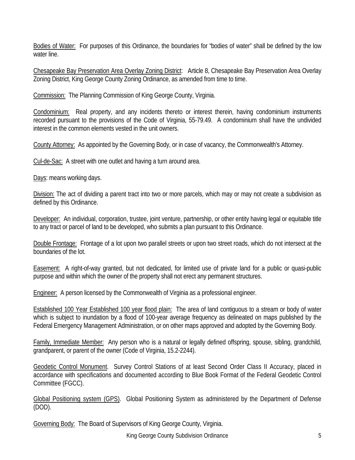Bodies of Water: For purposes of this Ordinance, the boundaries for "bodies of water" shall be defined by the low water line.

Chesapeake Bay Preservation Area Overlay Zoning District: Article 8, Chesapeake Bay Preservation Area Overlay Zoning District, King George County Zoning Ordinance, as amended from time to time.

Commission: The Planning Commission of King George County, Virginia.

Condominium: Real property, and any incidents thereto or interest therein, having condominium instruments recorded pursuant to the provisions of the Code of Virginia, 55-79.49. A condominium shall have the undivided interest in the common elements vested in the unit owners.

County Attorney: As appointed by the Governing Body, or in case of vacancy, the Commonwealth's Attorney.

Cul-de-Sac: A street with one outlet and having a turn around area.

Days: means working days.

Division: The act of dividing a parent tract into two or more parcels, which may or may not create a subdivision as defined by this Ordinance.

Developer: An individual, corporation, trustee, joint venture, partnership, or other entity having legal or equitable title to any tract or parcel of land to be developed, who submits a plan pursuant to this Ordinance.

Double Frontage: Frontage of a lot upon two parallel streets or upon two street roads, which do not intersect at the boundaries of the lot.

Easement: A right-of-way granted, but not dedicated, for limited use of private land for a public or quasi-public purpose and within which the owner of the property shall not erect any permanent structures.

**Engineer:** A person licensed by the Commonwealth of Virginia as a professional engineer.

Established 100 Year Established 100 year flood plain: The area of land contiguous to a stream or body of water which is subject to inundation by a flood of 100-year average frequency as delineated on maps published by the Federal Emergency Management Administration, or on other maps approved and adopted by the Governing Body.

Family, Immediate Member: Any person who is a natural or legally defined offspring, spouse, sibling, grandchild, grandparent, or parent of the owner (Code of Virginia, 15.2-2244).

Geodetic Control Monument. Survey Control Stations of at least Second Order Class II Accuracy, placed in accordance with specifications and documented according to Blue Book Format of the Federal Geodetic Control Committee (FGCC).

Global Positioning system (GPS). Global Positioning System as administered by the Department of Defense (DOD).

Governing Body: The Board of Supervisors of King George County, Virginia.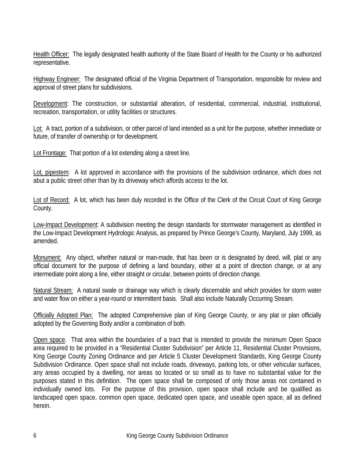Health Officer: The legally designated health authority of the State Board of Health for the County or his authorized representative.

Highway Engineer: The designated official of the Virginia Department of Transportation, responsible for review and approval of street plans for subdivisions.

Development: The construction, or substantial alteration, of residential, commercial, industrial, institutional, recreation, transportation, or utility facilities or structures.

Lot: A tract, portion of a subdivision, or other parcel of land intended as a unit for the purpose, whether immediate or future, of transfer of ownership or for development.

Lot Frontage: That portion of a lot extending along a street line.

Lot, pipestem: A lot approved in accordance with the provisions of the subdivision ordinance, which does not abut a public street other than by its driveway which affords access to the lot.

Lot of Record: A lot, which has been duly recorded in the Office of the Clerk of the Circuit Court of King George County.

Low-Impact Development: A subdivision meeting the design standards for stormwater management as identified in the Low-Impact Development Hydrologic Analysis, as prepared by Prince George's County, Maryland, July 1999, as amended.

Monument: Any object, whether natural or man-made, that has been or is designated by deed, will, plat or any official document for the purpose of defining a land boundary, either at a point of direction change, or at any intermediate point along a line, either straight or circular, between points of direction change.

Natural Stream: A natural swale or drainage way which is clearly discernable and which provides for storm water and water flow on either a year-round or intermittent basis. Shall also include Naturally Occurring Stream.

Officially Adopted Plan: The adopted Comprehensive plan of King George County, or any plat or plan officially adopted by the Governing Body and/or a combination of both.

Open space. That area within the boundaries of a tract that is intended to provide the minimum Open Space area required to be provided in a "Residential Cluster Subdivision" per Article 11, Residential Cluster Provisions, King George County Zoning Ordinance and per Article 5 Cluster Development Standards, King George County Subdivision Ordinance. Open space shall not include roads, driveways, parking lots, or other vehicular surfaces, any areas occupied by a dwelling, nor areas so located or so small as to have no substantial value for the purposes stated in this definition. The open space shall be composed of only those areas not contained in individually owned lots. For the purpose of this provision, open space shall include and be qualified as landscaped open space, common open space, dedicated open space, and useable open space, all as defined herein.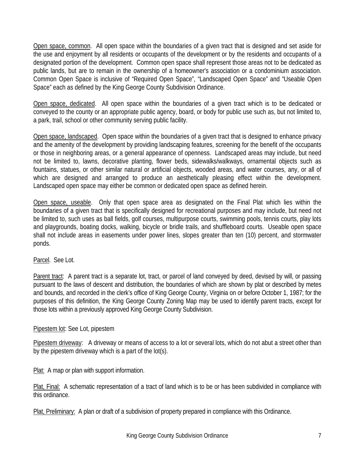Open space, common. All open space within the boundaries of a given tract that is designed and set aside for the use and enjoyment by all residents or occupants of the development or by the residents and occupants of a designated portion of the development. Common open space shall represent those areas not to be dedicated as public lands, but are to remain in the ownership of a homeowner's association or a condominium association. Common Open Space is inclusive of "Required Open Space", "Landscaped Open Space" and "Useable Open Space" each as defined by the King George County Subdivision Ordinance.

Open space, dedicated. All open space within the boundaries of a given tract which is to be dedicated or conveyed to the county or an appropriate public agency, board, or body for public use such as, but not limited to, a park, trail, school or other community serving public facility.

Open space, landscaped. Open space within the boundaries of a given tract that is designed to enhance privacy and the amenity of the development by providing landscaping features, screening for the benefit of the occupants or those in neighboring areas, or a general appearance of openness. Landscaped areas may include, but need not be limited to, lawns, decorative planting, flower beds, sidewalks/walkways, ornamental objects such as fountains, statues, or other similar natural or artificial objects, wooded areas, and water courses, any, or all of which are designed and arranged to produce an aesthetically pleasing effect within the development. Landscaped open space may either be common or dedicated open space as defined herein.

Open space, useable. Only that open space area as designated on the Final Plat which lies within the boundaries of a given tract that is specifically designed for recreational purposes and may include, but need not be limited to, such uses as ball fields, golf courses, multipurpose courts, swimming pools, tennis courts, play lots and playgrounds, boating docks, walking, bicycle or bridle trails, and shuffleboard courts. Useable open space shall not include areas in easements under power lines, slopes greater than ten (10) percent, and stormwater ponds.

Parcel. See Lot.

Parent tract: A parent tract is a separate lot, tract, or parcel of land conveyed by deed, devised by will, or passing pursuant to the laws of descent and distribution, the boundaries of which are shown by plat or described by metes and bounds, and recorded in the clerk's office of King George County, Virginia on or before October 1, 1987; for the purposes of this definition, the King George County Zoning Map may be used to identify parent tracts, except for those lots within a previously approved King George County Subdivision.

# Pipestem lot: See Lot, pipestem

Pipestem driveway: A driveway or means of access to a lot or several lots, which do not abut a street other than by the pipestem driveway which is a part of the lot(s).

Plat: A map or plan with support information.

Plat, Final: A schematic representation of a tract of land which is to be or has been subdivided in compliance with this ordinance.

Plat, Preliminary: A plan or draft of a subdivision of property prepared in compliance with this Ordinance.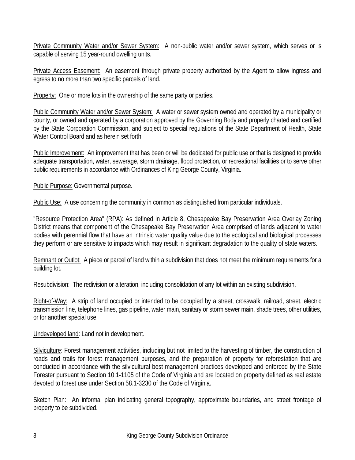Private Community Water and/or Sewer System: A non-public water and/or sewer system, which serves or is capable of serving 15 year-round dwelling units.

Private Access Easement: An easement through private property authorized by the Agent to allow ingress and egress to no more than two specific parcels of land.

Property: One or more lots in the ownership of the same party or parties.

Public Community Water and/or Sewer System: A water or sewer system owned and operated by a municipality or county, or owned and operated by a corporation approved by the Governing Body and properly charted and certified by the State Corporation Commission, and subject to special regulations of the State Department of Health, State Water Control Board and as herein set forth.

Public Improvement: An improvement that has been or will be dedicated for public use or that is designed to provide adequate transportation, water, sewerage, storm drainage, flood protection, or recreational facilities or to serve other public requirements in accordance with Ordinances of King George County, Virginia.

Public Purpose: Governmental purpose.

Public Use: A use concerning the community in common as distinguished from particular individuals.

"Resource Protection Area" (RPA): As defined in Article 8, Chesapeake Bay Preservation Area Overlay Zoning District means that component of the Chesapeake Bay Preservation Area comprised of lands adjacent to water bodies with perennial flow that have an intrinsic water quality value due to the ecological and biological processes they perform or are sensitive to impacts which may result in significant degradation to the quality of state waters.

Remnant or Outlot: A piece or parcel of land within a subdivision that does not meet the minimum requirements for a building lot.

Resubdivision: The redivision or alteration, including consolidation of any lot within an existing subdivision.

Right-of-Way: A strip of land occupied or intended to be occupied by a street, crosswalk, railroad, street, electric transmission line, telephone lines, gas pipeline, water main, sanitary or storm sewer main, shade trees, other utilities, or for another special use.

Undeveloped land: Land not in development.

Silviculture: Forest management activities, including but not limited to the harvesting of timber, the construction of roads and trails for forest management purposes, and the preparation of property for reforestation that are conducted in accordance with the silvicultural best management practices developed and enforced by the State Forester pursuant to Section 10.1-1105 of the Code of Virginia and are located on property defined as real estate devoted to forest use under Section 58.1-3230 of the Code of Virginia.

Sketch Plan: An informal plan indicating general topography, approximate boundaries, and street frontage of property to be subdivided.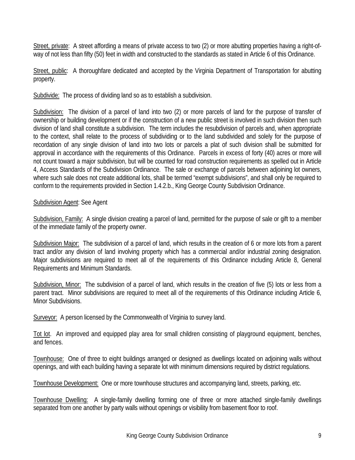Street, private: A street affording a means of private access to two (2) or more abutting properties having a right-ofway of not less than fifty (50) feet in width and constructed to the standards as stated in Article 6 of this Ordinance.

Street, public: A thoroughfare dedicated and accepted by the Virginia Department of Transportation for abutting property.

Subdivide: The process of dividing land so as to establish a subdivision.

Subdivision: The division of a parcel of land into two (2) or more parcels of land for the purpose of transfer of ownership or building development or if the construction of a new public street is involved in such division then such division of land shall constitute a subdivision. The term includes the resubdivision of parcels and, when appropriate to the context, shall relate to the process of subdividing or to the land subdivided and solely for the purpose of recordation of any single division of land into two lots or parcels a plat of such division shall be submitted for approval in accordance with the requirements of this Ordinance. Parcels in excess of forty (40) acres or more will not count toward a major subdivision, but will be counted for road construction requirements as spelled out in Article 4, Access Standards of the Subdivision Ordinance. The sale or exchange of parcels between adjoining lot owners, where such sale does not create additional lots, shall be termed "exempt subdivisions", and shall only be required to conform to the requirements provided in Section 1.4.2.b., King George County Subdivision Ordinance.

#### Subdivision Agent: See Agent

Subdivision, Family: A single division creating a parcel of land, permitted for the purpose of sale or gift to a member of the immediate family of the property owner.

Subdivision Major: The subdivision of a parcel of land, which results in the creation of 6 or more lots from a parent tract and/or any division of land involving property which has a commercial and/or industrial zoning designation. Major subdivisions are required to meet all of the requirements of this Ordinance including Article 8, General Requirements and Minimum Standards.

Subdivision, Minor: The subdivision of a parcel of land, which results in the creation of five (5) lots or less from a parent tract. Minor subdivisions are required to meet all of the requirements of this Ordinance including Article 6, Minor Subdivisions.

Surveyor: A person licensed by the Commonwealth of Virginia to survey land.

Tot lot. An improved and equipped play area for small children consisting of playground equipment, benches, and fences.

Townhouse: One of three to eight buildings arranged or designed as dwellings located on adjoining walls without openings, and with each building having a separate lot with minimum dimensions required by district regulations.

Townhouse Development: One or more townhouse structures and accompanying land, streets, parking, etc.

Townhouse Dwelling: A single-family dwelling forming one of three or more attached single-family dwellings separated from one another by party walls without openings or visibility from basement floor to roof.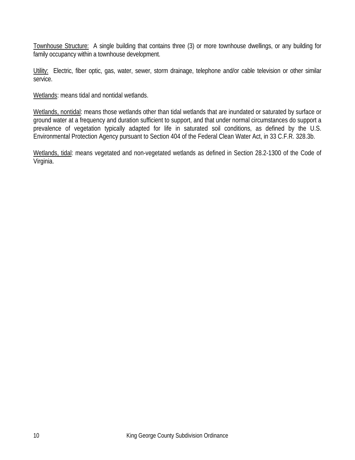Townhouse Structure: A single building that contains three (3) or more townhouse dwellings, or any building for family occupancy within a townhouse development.

Utility: Electric, fiber optic, gas, water, sewer, storm drainage, telephone and/or cable television or other similar service.

Wetlands: means tidal and nontidal wetlands.

Wetlands, nontidal: means those wetlands other than tidal wetlands that are inundated or saturated by surface or ground water at a frequency and duration sufficient to support, and that under normal circumstances do support a prevalence of vegetation typically adapted for life in saturated soil conditions, as defined by the U.S. Environmental Protection Agency pursuant to Section 404 of the Federal Clean Water Act, in 33 C.F.R. 328.3b.

Wetlands, tidal: means vegetated and non-vegetated wetlands as defined in Section 28.2-1300 of the Code of Virginia.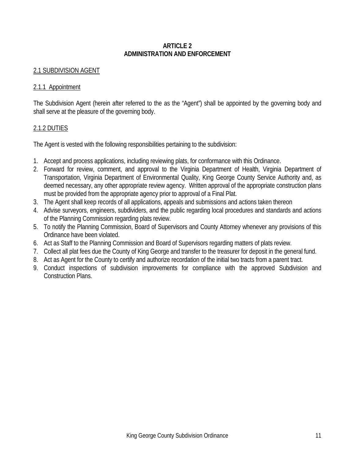#### **ARTICLE 2 ADMINISTRATION AND ENFORCEMENT**

#### 2.1 SUBDIVISION AGENT

### 2.1.1 Appointment

The Subdivision Agent (herein after referred to the as the "Agent") shall be appointed by the governing body and shall serve at the pleasure of the governing body.

# 2.1.2 DUTIES

The Agent is vested with the following responsibilities pertaining to the subdivision:

- 1. Accept and process applications, including reviewing plats, for conformance with this Ordinance.
- 2. Forward for review, comment, and approval to the Virginia Department of Health, Virginia Department of Transportation, Virginia Department of Environmental Quality, King George County Service Authority and, as deemed necessary, any other appropriate review agency. Written approval of the appropriate construction plans must be provided from the appropriate agency prior to approval of a Final Plat.
- 3. The Agent shall keep records of all applications, appeals and submissions and actions taken thereon
- 4. Advise surveyors, engineers, subdividers, and the public regarding local procedures and standards and actions of the Planning Commission regarding plats review.
- 5. To notify the Planning Commission, Board of Supervisors and County Attorney whenever any provisions of this Ordinance have been violated.
- 6. Act as Staff to the Planning Commission and Board of Supervisors regarding matters of plats review.
- 7. Collect all plat fees due the County of King George and transfer to the treasurer for deposit in the general fund.
- 8. Act as Agent for the County to certify and authorize recordation of the initial two tracts from a parent tract.
- 9. Conduct inspections of subdivision improvements for compliance with the approved Subdivision and Construction Plans.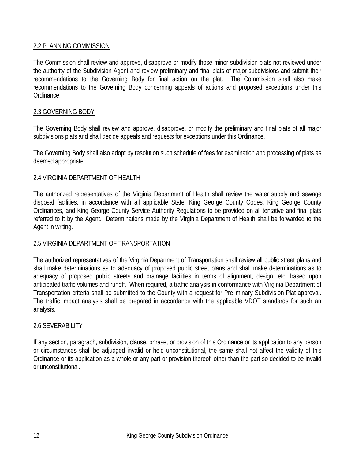#### 2.2 PLANNING COMMISSION

The Commission shall review and approve, disapprove or modify those minor subdivision plats not reviewed under the authority of the Subdivision Agent and review preliminary and final plats of major subdivisions and submit their recommendations to the Governing Body for final action on the plat. The Commission shall also make recommendations to the Governing Body concerning appeals of actions and proposed exceptions under this Ordinance.

# 2.3 GOVERNING BODY

The Governing Body shall review and approve, disapprove, or modify the preliminary and final plats of all major subdivisions plats and shall decide appeals and requests for exceptions under this Ordinance.

The Governing Body shall also adopt by resolution such schedule of fees for examination and processing of plats as deemed appropriate.

# 2.4 VIRGINIA DEPARTMENT OF HEALTH

The authorized representatives of the Virginia Department of Health shall review the water supply and sewage disposal facilities, in accordance with all applicable State, King George County Codes, King George County Ordinances, and King George County Service Authority Regulations to be provided on all tentative and final plats referred to it by the Agent. Determinations made by the Virginia Department of Health shall be forwarded to the Agent in writing.

#### 2.5 VIRGINIA DEPARTMENT OF TRANSPORTATION

The authorized representatives of the Virginia Department of Transportation shall review all public street plans and shall make determinations as to adequacy of proposed public street plans and shall make determinations as to adequacy of proposed public streets and drainage facilities in terms of alignment, design, etc. based upon anticipated traffic volumes and runoff. When required, a traffic analysis in conformance with Virginia Department of Transportation criteria shall be submitted to the County with a request for Preliminary Subdivision Plat approval. The traffic impact analysis shall be prepared in accordance with the applicable VDOT standards for such an analysis.

#### 2.6 SEVERABILITY

If any section, paragraph, subdivision, clause, phrase, or provision of this Ordinance or its application to any person or circumstances shall be adjudged invalid or held unconstitutional, the same shall not affect the validity of this Ordinance or its application as a whole or any part or provision thereof, other than the part so decided to be invalid or unconstitutional.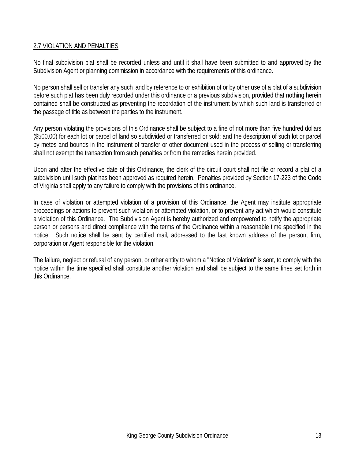# 2.7 VIOLATION AND PENALTIES

No final subdivision plat shall be recorded unless and until it shall have been submitted to and approved by the Subdivision Agent or planning commission in accordance with the requirements of this ordinance.

No person shall sell or transfer any such land by reference to or exhibition of or by other use of a plat of a subdivision before such plat has been duly recorded under this ordinance or a previous subdivision, provided that nothing herein contained shall be constructed as preventing the recordation of the instrument by which such land is transferred or the passage of title as between the parties to the instrument.

Any person violating the provisions of this Ordinance shall be subject to a fine of not more than five hundred dollars (\$500.00) for each lot or parcel of land so subdivided or transferred or sold; and the description of such lot or parcel by metes and bounds in the instrument of transfer or other document used in the process of selling or transferring shall not exempt the transaction from such penalties or from the remedies herein provided.

Upon and after the effective date of this Ordinance, the clerk of the circuit court shall not file or record a plat of a subdivision until such plat has been approved as required herein. Penalties provided by Section 17-223 of the Code of Virginia shall apply to any failure to comply with the provisions of this ordinance.

In case of violation or attempted violation of a provision of this Ordinance, the Agent may institute appropriate proceedings or actions to prevent such violation or attempted violation, or to prevent any act which would constitute a violation of this Ordinance. The Subdivision Agent is hereby authorized and empowered to notify the appropriate person or persons and direct compliance with the terms of the Ordinance within a reasonable time specified in the notice. Such notice shall be sent by certified mail, addressed to the last known address of the person, firm, corporation or Agent responsible for the violation.

The failure, neglect or refusal of any person, or other entity to whom a "Notice of Violation" is sent, to comply with the notice within the time specified shall constitute another violation and shall be subject to the same fines set forth in this Ordinance.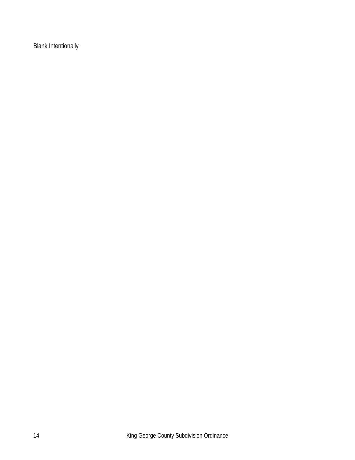Blank Intentionally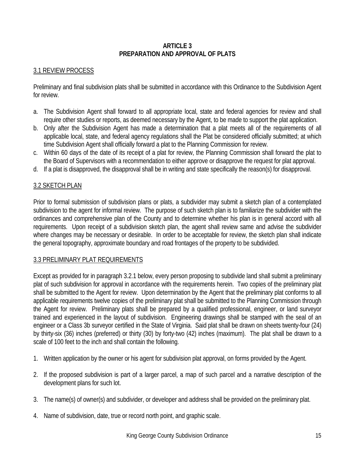#### **ARTICLE 3 PREPARATION AND APPROVAL OF PLATS**

### 3.1 REVIEW PROCESS

Preliminary and final subdivision plats shall be submitted in accordance with this Ordinance to the Subdivision Agent for review.

- a. The Subdivision Agent shall forward to all appropriate local, state and federal agencies for review and shall require other studies or reports, as deemed necessary by the Agent, to be made to support the plat application.
- b. Only after the Subdivision Agent has made a determination that a plat meets all of the requirements of all applicable local, state, and federal agency regulations shall the Plat be considered officially submitted; at which time Subdivision Agent shall officially forward a plat to the Planning Commission for review.
- c. Within 60 days of the date of its receipt of a plat for review, the Planning Commission shall forward the plat to the Board of Supervisors with a recommendation to either approve or disapprove the request for plat approval.
- d. If a plat is disapproved, the disapproval shall be in writing and state specifically the reason(s) for disapproval.

# 3.2 SKETCH PLAN

Prior to formal submission of subdivision plans or plats, a subdivider may submit a sketch plan of a contemplated subdivision to the agent for informal review. The purpose of such sketch plan is to familiarize the subdivider with the ordinances and comprehensive plan of the County and to determine whether his plan is in general accord with all requirements. Upon receipt of a subdivision sketch plan, the agent shall review same and advise the subdivider where changes may be necessary or desirable. In order to be acceptable for review, the sketch plan shall indicate the general topography, approximate boundary and road frontages of the property to be subdivided.

#### 3.3 PRELIMINARY PLAT REQUIREMENTS

Except as provided for in paragraph 3.2.1 below, every person proposing to subdivide land shall submit a preliminary plat of such subdivision for approval in accordance with the requirements herein. Two copies of the preliminary plat shall be submitted to the Agent for review. Upon determination by the Agent that the preliminary plat conforms to all applicable requirements twelve copies of the preliminary plat shall be submitted to the Planning Commission through the Agent for review. Preliminary plats shall be prepared by a qualified professional, engineer, or land surveyor trained and experienced in the layout of subdivision. Engineering drawings shall be stamped with the seal of an engineer or a Class 3b surveyor certified in the State of Virginia. Said plat shall be drawn on sheets twenty-four (24) by thirty-six (36) inches (preferred) or thirty (30) by forty-two (42) inches (maximum). The plat shall be drawn to a scale of 100 feet to the inch and shall contain the following.

- 1. Written application by the owner or his agent for subdivision plat approval, on forms provided by the Agent.
- 2. If the proposed subdivision is part of a larger parcel, a map of such parcel and a narrative description of the development plans for such lot.
- 3. The name(s) of owner(s) and subdivider, or developer and address shall be provided on the preliminary plat.
- 4. Name of subdivision, date, true or record north point, and graphic scale.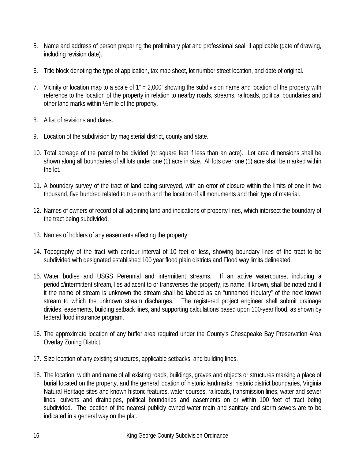- 5. Name and address of person preparing the preliminary plat and professional seal, if applicable (date of drawing, including revision date).
- 6. Title block denoting the type of application, tax map sheet, lot number street location, and date of original.
- 7. Vicinity or location map to a scale of 1" = 2,000' showing the subdivision name and location of the property with reference to the location of the property in relation to nearby roads, streams, railroads, political boundaries and other land marks within ½ mile of the property.
- 8. A list of revisions and dates.
- 9. Location of the subdivision by magisterial district, county and state.
- 10. Total acreage of the parcel to be divided (or square feet if less than an acre). Lot area dimensions shall be shown along all boundaries of all lots under one (1) acre in size. All lots over one (1) acre shall be marked within the lot.
- 11. A boundary survey of the tract of land being surveyed, with an error of closure within the limits of one in two thousand, five hundred related to true north and the location of all monuments and their type of material.
- 12. Names of owners of record of all adjoining land and indications of property lines, which intersect the boundary of the tract being subdivided.
- 13. Names of holders of any easements affecting the property.
- 14. Topography of the tract with contour interval of 10 feet or less, showing boundary lines of the tract to be subdivided with designated established 100 year flood plain districts and Flood way limits delineated.
- 15. Water bodies and USGS Perennial and intermittent streams. If an active watercourse, including a periodic/intermittent stream, lies adjacent to or transverses the property, its name, if known, shall be noted and if it the name of stream is unknown the stream shall be labeled as an "unnamed tributary" of the next known stream to which the unknown stream discharges." The registered project engineer shall submit drainage divides, easements, building setback lines, and supporting calculations based upon 100-year flood, as shown by federal flood insurance program.
- 16. The approximate location of any buffer area required under the County's Chesapeake Bay Preservation Area Overlay Zoning District.
- 17. Size location of any existing structures, applicable setbacks, and building lines.
- 18. The location, width and name of all existing roads, buildings, graves and objects or structures marking a place of burial located on the property, and the general location of historic landmarks, historic district boundaries, Virginia Natural Heritage sites and known historic features, water courses, railroads, transmission lines, water and sewer lines, culverts and drainpipes, political boundaries and easements on or within 100 feet of tract being subdivided. The location of the nearest publicly owned water main and sanitary and storm sewers are to be indicated in a general way on the plat.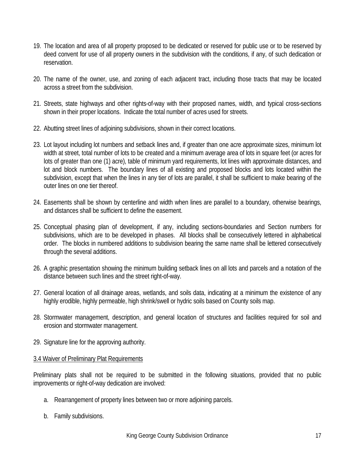- 19. The location and area of all property proposed to be dedicated or reserved for public use or to be reserved by deed convent for use of all property owners in the subdivision with the conditions, if any, of such dedication or reservation.
- 20. The name of the owner, use, and zoning of each adjacent tract, including those tracts that may be located across a street from the subdivision.
- 21. Streets, state highways and other rights-of-way with their proposed names, width, and typical cross-sections shown in their proper locations. Indicate the total number of acres used for streets.
- 22. Abutting street lines of adjoining subdivisions, shown in their correct locations.
- 23. Lot layout including lot numbers and setback lines and, if greater than one acre approximate sizes, minimum lot width at street, total number of lots to be created and a minimum average area of lots in square feet (or acres for lots of greater than one (1) acre), table of minimum yard requirements, lot lines with approximate distances, and lot and block numbers. The boundary lines of all existing and proposed blocks and lots located within the subdivision, except that when the lines in any tier of lots are parallel, it shall be sufficient to make bearing of the outer lines on one tier thereof.
- 24. Easements shall be shown by centerline and width when lines are parallel to a boundary, otherwise bearings, and distances shall be sufficient to define the easement.
- 25. Conceptual phasing plan of development, if any, including sections-boundaries and Section numbers for subdivisions, which are to be developed in phases. All blocks shall be consecutively lettered in alphabetical order. The blocks in numbered additions to subdivision bearing the same name shall be lettered consecutively through the several additions.
- 26. A graphic presentation showing the minimum building setback lines on all lots and parcels and a notation of the distance between such lines and the street right-of-way.
- 27. General location of all drainage areas, wetlands, and soils data, indicating at a minimum the existence of any highly erodible, highly permeable, high shrink/swell or hydric soils based on County soils map.
- 28. Stormwater management, description, and general location of structures and facilities required for soil and erosion and stormwater management.
- 29. Signature line for the approving authority.

#### 3.4 Waiver of Preliminary Plat Requirements

Preliminary plats shall not be required to be submitted in the following situations, provided that no public improvements or right-of-way dedication are involved:

- a. Rearrangement of property lines between two or more adjoining parcels.
- b. Family subdivisions.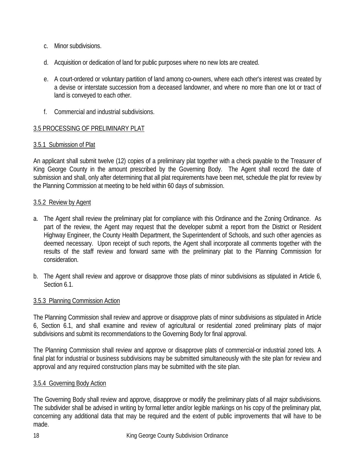- c. Minor subdivisions.
- d. Acquisition or dedication of land for public purposes where no new lots are created.
- e. A court-ordered or voluntary partition of land among co-owners, where each other's interest was created by a devise or interstate succession from a deceased landowner, and where no more than one lot or tract of land is conveyed to each other.
- f. Commercial and industrial subdivisions.

#### 3.5 PROCESSING OF PRELIMINARY PLAT

# 3.5.1 Submission of Plat

An applicant shall submit twelve (12) copies of a preliminary plat together with a check payable to the Treasurer of King George County in the amount prescribed by the Governing Body. The Agent shall record the date of submission and shall, only after determining that all plat requirements have been met, schedule the plat for review by the Planning Commission at meeting to be held within 60 days of submission.

#### 3.5.2 Review by Agent

- a. The Agent shall review the preliminary plat for compliance with this Ordinance and the Zoning Ordinance. As part of the review, the Agent may request that the developer submit a report from the District or Resident Highway Engineer, the County Health Department, the Superintendent of Schools, and such other agencies as deemed necessary. Upon receipt of such reports, the Agent shall incorporate all comments together with the results of the staff review and forward same with the preliminary plat to the Planning Commission for consideration.
- b. The Agent shall review and approve or disapprove those plats of minor subdivisions as stipulated in Article 6, Section 6.1.

#### 3.5.3 Planning Commission Action

The Planning Commission shall review and approve or disapprove plats of minor subdivisions as stipulated in Article 6, Section 6.1, and shall examine and review of agricultural or residential zoned preliminary plats of major subdivisions and submit its recommendations to the Governing Body for final approval.

The Planning Commission shall review and approve or disapprove plats of commercial-or industrial zoned lots. A final plat for industrial or business subdivisions may be submitted simultaneously with the site plan for review and approval and any required construction plans may be submitted with the site plan.

#### 3.5.4 Governing Body Action

The Governing Body shall review and approve, disapprove or modify the preliminary plats of all major subdivisions. The subdivider shall be advised in writing by formal letter and/or legible markings on his copy of the preliminary plat, concerning any additional data that may be required and the extent of public improvements that will have to be made.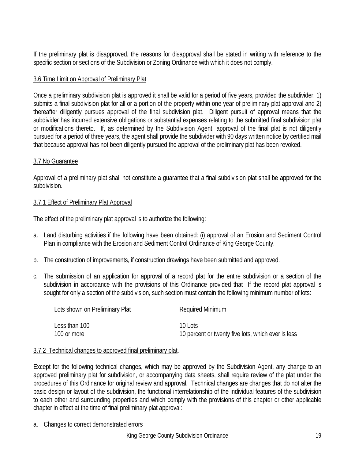If the preliminary plat is disapproved, the reasons for disapproval shall be stated in writing with reference to the specific section or sections of the Subdivision or Zoning Ordinance with which it does not comply.

# 3.6 Time Limit on Approval of Preliminary Plat

Once a preliminary subdivision plat is approved it shall be valid for a period of five years, provided the subdivider: 1) submits a final subdivision plat for all or a portion of the property within one year of preliminary plat approval and 2) thereafter diligently pursues approval of the final subdivision plat. Diligent pursuit of approval means that the subdivider has incurred extensive obligations or substantial expenses relating to the submitted final subdivision plat or modifications thereto. If, as determined by the Subdivision Agent, approval of the final plat is not diligently pursued for a period of three years, the agent shall provide the subdivider with 90 days written notice by certified mail that because approval has not been diligently pursued the approval of the preliminary plat has been revoked.

#### 3.7 No Guarantee

Approval of a preliminary plat shall not constitute a guarantee that a final subdivision plat shall be approved for the subdivision.

#### 3.7.1 Effect of Preliminary Plat Approval

The effect of the preliminary plat approval is to authorize the following:

- a. Land disturbing activities if the following have been obtained: (i) approval of an Erosion and Sediment Control Plan in compliance with the Erosion and Sediment Control Ordinance of King George County.
- b. The construction of improvements, if construction drawings have been submitted and approved.
- c. The submission of an application for approval of a record plat for the entire subdivision or a section of the subdivision in accordance with the provisions of this Ordinance provided that If the record plat approval is sought for only a section of the subdivision, such section must contain the following minimum number of lots:

| Lots shown on Preliminary Plat | <b>Required Minimum</b>                            |
|--------------------------------|----------------------------------------------------|
| Less than 100                  | $10$ I ots                                         |
| 100 or more                    | 10 percent or twenty five lots, which ever is less |

#### 3.7.2 Technical changes to approved final preliminary plat.

Except for the following technical changes, which may be approved by the Subdivision Agent, any change to an approved preliminary plat for subdivision, or accompanying data sheets, shall require review of the plat under the procedures of this Ordinance for original review and approval. Technical changes are changes that do not alter the basic design or layout of the subdivision, the functional interrelationship of the individual features of the subdivision to each other and surrounding properties and which comply with the provisions of this chapter or other applicable chapter in effect at the time of final preliminary plat approval:

a. Changes to correct demonstrated errors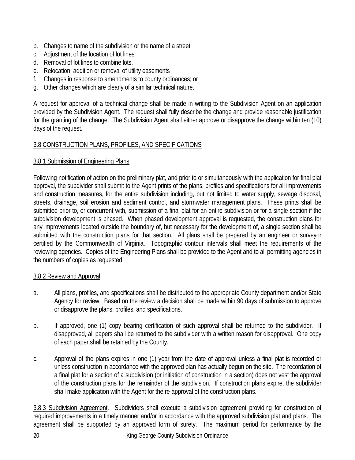- b. Changes to name of the subdivision or the name of a street
- c. Adjustment of the location of lot lines
- d. Removal of lot lines to combine lots.
- e. Relocation, addition or removal of utility easements
- f. Changes in response to amendments to county ordinances; or
- g. Other changes which are clearly of a similar technical nature.

A request for approval of a technical change shall be made in writing to the Subdivision Agent on an application provided by the Subdivision Agent. The request shall fully describe the change and provide reasonable justification for the granting of the change. The Subdivision Agent shall either approve or disapprove the change within ten (10) days of the request.

# 3.8 CONSTRUCTION PLANS, PROFILES, AND SPECIFICATIONS

# 3.8.1 Submission of Engineering Plans

Following notification of action on the preliminary plat, and prior to or simultaneously with the application for final plat approval, the subdivider shall submit to the Agent prints of the plans, profiles and specifications for all improvements and construction measures, for the entire subdivision including, but not limited to water supply, sewage disposal, streets, drainage, soil erosion and sediment control, and stormwater management plans. These prints shall be submitted prior to, or concurrent with, submission of a final plat for an entire subdivision or for a single section if the subdivision development is phased. When phased development approval is requested, the construction plans for any improvements located outside the boundary of, but necessary for the development of, a single section shall be submitted with the construction plans for that section. All plans shall be prepared by an engineer or surveyor certified by the Commonwealth of Virginia. Topographic contour intervals shall meet the requirements of the reviewing agencies. Copies of the Engineering Plans shall be provided to the Agent and to all permitting agencies in the numbers of copies as requested.

#### 3.8.2 Review and Approval

- a. All plans, profiles, and specifications shall be distributed to the appropriate County department and/or State Agency for review. Based on the review a decision shall be made within 90 days of submission to approve or disapprove the plans, profiles, and specifications.
- b. If approved, one (1) copy bearing certification of such approval shall be returned to the subdivider. If disapproved, all papers shall be returned to the subdivider with a written reason for disapproval. One copy of each paper shall be retained by the County.
- c. Approval of the plans expires in one (1) year from the date of approval unless a final plat is recorded or unless construction in accordance with the approved plan has actually begun on the site. The recordation of a final plat for a section of a subdivision (or initiation of construction in a section) does not vest the approval of the construction plans for the remainder of the subdivision. If construction plans expire, the subdivider shall make application with the Agent for the re-approval of the construction plans.

3.8.3 Subdivision Agreement. Subdividers shall execute a subdivision agreement providing for construction of required improvements in a timely manner and/or in accordance with the approved subdivision plat and plans. The agreement shall be supported by an approved form of surety. The maximum period for performance by the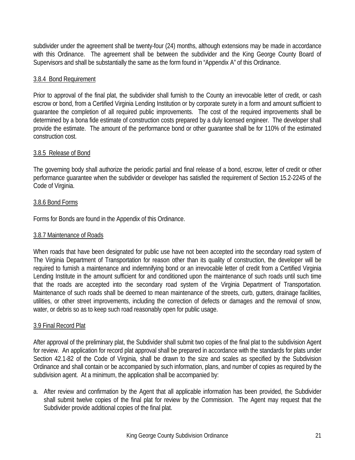subdivider under the agreement shall be twenty-four (24) months, although extensions may be made in accordance with this Ordinance. The agreement shall be between the subdivider and the King George County Board of Supervisors and shall be substantially the same as the form found in "Appendix A" of this Ordinance.

# 3.8.4 Bond Requirement

Prior to approval of the final plat, the subdivider shall furnish to the County an irrevocable letter of credit, or cash escrow or bond, from a Certified Virginia Lending Institution or by corporate surety in a form and amount sufficient to guarantee the completion of all required public improvements. The cost of the required improvements shall be determined by a bona fide estimate of construction costs prepared by a duly licensed engineer. The developer shall provide the estimate. The amount of the performance bond or other guarantee shall be for 110% of the estimated construction cost.

#### 3.8.5 Release of Bond

The governing body shall authorize the periodic partial and final release of a bond, escrow, letter of credit or other performance guarantee when the subdivider or developer has satisfied the requirement of Section 15.2-2245 of the Code of Virginia.

#### 3.8.6 Bond Forms

Forms for Bonds are found in the Appendix of this Ordinance.

#### 3.8.7 Maintenance of Roads

When roads that have been designated for public use have not been accepted into the secondary road system of The Virginia Department of Transportation for reason other than its quality of construction, the developer will be required to furnish a maintenance and indemnifying bond or an irrevocable letter of credit from a Certified Virginia Lending Institute in the amount sufficient for and conditioned upon the maintenance of such roads until such time that the roads are accepted into the secondary road system of the Virginia Department of Transportation. Maintenance of such roads shall be deemed to mean maintenance of the streets, curb, gutters, drainage facilities, utilities, or other street improvements, including the correction of defects or damages and the removal of snow, water, or debris so as to keep such road reasonably open for public usage.

#### 3.9 Final Record Plat

After approval of the preliminary plat, the Subdivider shall submit two copies of the final plat to the subdivision Agent for review. An application for record plat approval shall be prepared in accordance with the standards for plats under Section 42.1-82 of the Code of Virginia, shall be drawn to the size and scales as specified by the Subdivision Ordinance and shall contain or be accompanied by such information, plans, and number of copies as required by the subdivision agent. At a minimum, the application shall be accompanied by:

a. After review and confirmation by the Agent that all applicable information has been provided, the Subdivider shall submit twelve copies of the final plat for review by the Commission. The Agent may request that the Subdivider provide additional copies of the final plat.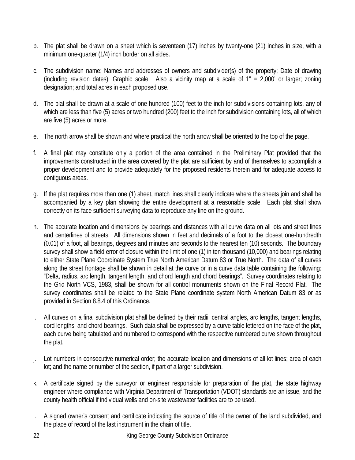- b. The plat shall be drawn on a sheet which is seventeen (17) inches by twenty-one (21) inches in size, with a minimum one-quarter (1/4) inch border on all sides.
- c. The subdivision name; Names and addresses of owners and subdivider(s) of the property; Date of drawing (including revision dates); Graphic scale. Also a vicinity map at a scale of 1" = 2,000' or larger; zoning designation; and total acres in each proposed use.
- d. The plat shall be drawn at a scale of one hundred (100) feet to the inch for subdivisions containing lots, any of which are less than five (5) acres or two hundred (200) feet to the inch for subdivision containing lots, all of which are five (5) acres or more.
- e. The north arrow shall be shown and where practical the north arrow shall be oriented to the top of the page.
- f. A final plat may constitute only a portion of the area contained in the Preliminary Plat provided that the improvements constructed in the area covered by the plat are sufficient by and of themselves to accomplish a proper development and to provide adequately for the proposed residents therein and for adequate access to contiguous areas.
- g. If the plat requires more than one (1) sheet, match lines shall clearly indicate where the sheets join and shall be accompanied by a key plan showing the entire development at a reasonable scale. Each plat shall show correctly on its face sufficient surveying data to reproduce any line on the ground.
- h. The accurate location and dimensions by bearings and distances with all curve data on all lots and street lines and centerlines of streets. All dimensions shown in feet and decimals of a foot to the closest one-hundredth (0.01) of a foot, all bearings, degrees and minutes and seconds to the nearest ten (10) seconds. The boundary survey shall show a field error of closure within the limit of one (1) in ten thousand (10,000) and bearings relating to either State Plane Coordinate System True North American Datum 83 or True North. The data of all curves along the street frontage shall be shown in detail at the curve or in a curve data table containing the following: "Delta, radius, arc length, tangent length, and chord length and chord bearings". Survey coordinates relating to the Grid North VCS, 1983, shall be shown for all control monuments shown on the Final Record Plat. The survey coordinates shall be related to the State Plane coordinate system North American Datum 83 or as provided in Section 8.8.4 of this Ordinance.
- i. All curves on a final subdivision plat shall be defined by their radii, central angles, arc lengths, tangent lengths, cord lengths, and chord bearings. Such data shall be expressed by a curve table lettered on the face of the plat, each curve being tabulated and numbered to correspond with the respective numbered curve shown throughout the plat.
- j. Lot numbers in consecutive numerical order; the accurate location and dimensions of all lot lines; area of each lot; and the name or number of the section, if part of a larger subdivision.
- k. A certificate signed by the surveyor or engineer responsible for preparation of the plat, the state highway engineer where compliance with Virginia Department of Transportation (VDOT) standards are an issue, and the county health official if individual wells and on-site wastewater facilities are to be used.
- l. A signed owner's consent and certificate indicating the source of title of the owner of the land subdivided, and the place of record of the last instrument in the chain of title.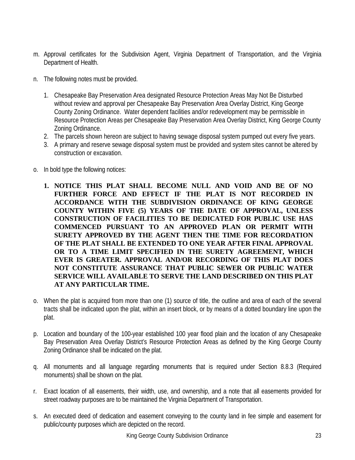- m. Approval certificates for the Subdivision Agent, Virginia Department of Transportation, and the Virginia Department of Health.
- n. The following notes must be provided.
	- 1. Chesapeake Bay Preservation Area designated Resource Protection Areas May Not Be Disturbed without review and approval per Chesapeake Bay Preservation Area Overlay District, King George County Zoning Ordinance. Water dependent facilities and/or redevelopment may be permissible in Resource Protection Areas per Chesapeake Bay Preservation Area Overlay District, King George County Zoning Ordinance.
	- 2. The parcels shown hereon are subject to having sewage disposal system pumped out every five years.
	- 3. A primary and reserve sewage disposal system must be provided and system sites cannot be altered by construction or excavation.
- o. In bold type the following notices:
	- **1. NOTICE THIS PLAT SHALL BECOME NULL AND VOID AND BE OF NO FURTHER FORCE AND EFFECT IF THE PLAT IS NOT RECORDED IN ACCORDANCE WITH THE SUBDIVISION ORDINANCE OF KING GEORGE COUNTY WITHIN FIVE (5) YEARS OF THE DATE OF APPROVAL, UNLESS CONSTRUCTION OF FACILITIES TO BE DEDICATED FOR PUBLIC USE HAS COMMENCED PURSUANT TO AN APPROVED PLAN OR PERMIT WITH SURETY APPROVED BY THE AGENT THEN THE TIME FOR RECORDATION OF THE PLAT SHALL BE EXTENDED TO ONE YEAR AFTER FINAL APPROVAL OR TO A TIME LIMIT SPECIFIED IN THE SURETY AGREEMENT, WHICH EVER IS GREATER. APPROVAL AND/OR RECORDING OF THIS PLAT DOES NOT CONSTITUTE ASSURANCE THAT PUBLIC SEWER OR PUBLIC WATER SERVICE WILL AVAILABLE TO SERVE THE LAND DESCRIBED ON THIS PLAT AT ANY PARTICULAR TIME.**
- o. When the plat is acquired from more than one (1) source of title, the outline and area of each of the several tracts shall be indicated upon the plat, within an insert block, or by means of a dotted boundary line upon the plat.
- p. Location and boundary of the 100-year established 100 year flood plain and the location of any Chesapeake Bay Preservation Area Overlay District's Resource Protection Areas as defined by the King George County Zoning Ordinance shall be indicated on the plat.
- q. All monuments and all language regarding monuments that is required under Section 8.8.3 (Required monuments) shall be shown on the plat.
- r. Exact location of all easements, their width, use, and ownership, and a note that all easements provided for street roadway purposes are to be maintained the Virginia Department of Transportation.
- s. An executed deed of dedication and easement conveying to the county land in fee simple and easement for public/county purposes which are depicted on the record.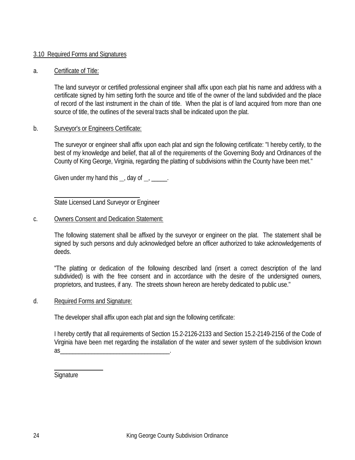#### 3.10 Required Forms and Signatures

#### a. Certificate of Title:

l

The land surveyor or certified professional engineer shall affix upon each plat his name and address with a certificate signed by him setting forth the source and title of the owner of the land subdivided and the place of record of the last instrument in the chain of title. When the plat is of land acquired from more than one source of title, the outlines of the several tracts shall be indicated upon the plat.

#### b. Surveyor's or Engineers Certificate:

The surveyor or engineer shall affix upon each plat and sign the following certificate: "I hereby certify, to the best of my knowledge and belief, that all of the requirements of the Governing Body and Ordinances of the County of King George, Virginia, regarding the platting of subdivisions within the County have been met."

Given under my hand this  $\Box$ , day of  $\Box$ ,  $\Box$ .

State Licensed Land Surveyor or Engineer

#### c. Owners Consent and Dedication Statement:

The following statement shall be affixed by the surveyor or engineer on the plat. The statement shall be signed by such persons and duly acknowledged before an officer authorized to take acknowledgements of deeds.

"The platting or dedication of the following described land (insert a correct description of the land subdivided) is with the free consent and in accordance with the desire of the undersigned owners, proprietors, and trustees, if any. The streets shown hereon are hereby dedicated to public use."

#### d. Required Forms and Signature:

The developer shall affix upon each plat and sign the following certificate:

I hereby certify that all requirements of Section 15.2-2126-2133 and Section 15.2-2149-2156 of the Code of Virginia have been met regarding the installation of the water and sewer system of the subdivision known as\_\_\_\_\_\_\_\_\_\_\_\_\_\_\_\_\_\_\_\_\_\_\_\_\_\_\_\_\_\_\_\_\_\_\_.

**Signature** 

l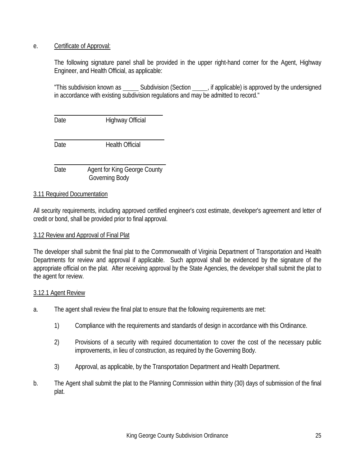#### e. Certificate of Approval:

The following signature panel shall be provided in the upper right-hand corner for the Agent, Highway Engineer, and Health Official, as applicable:

"This subdivision known as Subdivision (Section figure applicable) is approved by the undersigned in accordance with existing subdivision regulations and may be admitted to record."

| Date | <b>Highway Official</b> |
|------|-------------------------|
|      |                         |
| Date | <b>Health Official</b>  |

 $\overline{a}$ Date Agent for King George County Governing Body

# 3.11 Required Documentation

All security requirements, including approved certified engineer's cost estimate, developer's agreement and letter of credit or bond, shall be provided prior to final approval.

#### 3.12 Review and Approval of Final Plat

The developer shall submit the final plat to the Commonwealth of Virginia Department of Transportation and Health Departments for review and approval if applicable. Such approval shall be evidenced by the signature of the appropriate official on the plat. After receiving approval by the State Agencies, the developer shall submit the plat to the agent for review.

#### 3.12.1 Agent Review

- a. The agent shall review the final plat to ensure that the following requirements are met:
	- 1) Compliance with the requirements and standards of design in accordance with this Ordinance.
	- 2) Provisions of a security with required documentation to cover the cost of the necessary public improvements, in lieu of construction, as required by the Governing Body.
	- 3) Approval, as applicable, by the Transportation Department and Health Department.
- b. The Agent shall submit the plat to the Planning Commission within thirty (30) days of submission of the final plat.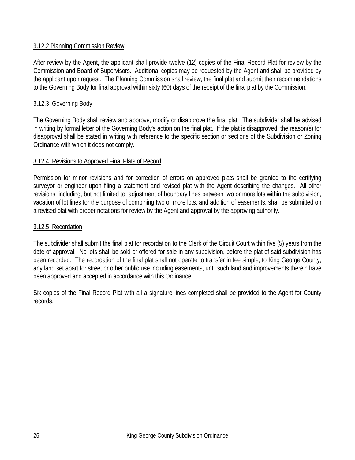### 3.12.2 Planning Commission Review

After review by the Agent, the applicant shall provide twelve (12) copies of the Final Record Plat for review by the Commission and Board of Supervisors. Additional copies may be requested by the Agent and shall be provided by the applicant upon request. The Planning Commission shall review, the final plat and submit their recommendations to the Governing Body for final approval within sixty (60) days of the receipt of the final plat by the Commission.

# 3.12.3 Governing Body

The Governing Body shall review and approve, modify or disapprove the final plat. The subdivider shall be advised in writing by formal letter of the Governing Body's action on the final plat. If the plat is disapproved, the reason(s) for disapproval shall be stated in writing with reference to the specific section or sections of the Subdivision or Zoning Ordinance with which it does not comply.

#### 3.12.4 Revisions to Approved Final Plats of Record

Permission for minor revisions and for correction of errors on approved plats shall be granted to the certifying surveyor or engineer upon filing a statement and revised plat with the Agent describing the changes. All other revisions, including, but not limited to, adjustment of boundary lines between two or more lots within the subdivision, vacation of lot lines for the purpose of combining two or more lots, and addition of easements, shall be submitted on a revised plat with proper notations for review by the Agent and approval by the approving authority.

### 3.12.5 Recordation

The subdivider shall submit the final plat for recordation to the Clerk of the Circuit Court within five (5) years from the date of approval. No lots shall be sold or offered for sale in any subdivision, before the plat of said subdivision has been recorded. The recordation of the final plat shall not operate to transfer in fee simple, to King George County, any land set apart for street or other public use including easements, until such land and improvements therein have been approved and accepted in accordance with this Ordinance.

Six copies of the Final Record Plat with all a signature lines completed shall be provided to the Agent for County records.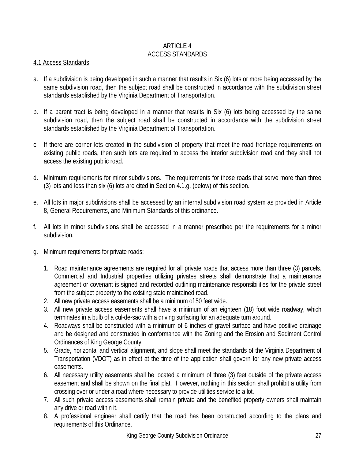#### ARTICI F 4 ACCESS STANDARDS

#### 4.1 Access Standards

- a. If a subdivision is being developed in such a manner that results in Six (6) lots or more being accessed by the same subdivision road, then the subject road shall be constructed in accordance with the subdivision street standards established by the Virginia Department of Transportation.
- b. If a parent tract is being developed in a manner that results in Six (6) lots being accessed by the same subdivision road, then the subject road shall be constructed in accordance with the subdivision street standards established by the Virginia Department of Transportation.
- c. If there are corner lots created in the subdivision of property that meet the road frontage requirements on existing public roads, then such lots are required to access the interior subdivision road and they shall not access the existing public road.
- d. Minimum requirements for minor subdivisions. The requirements for those roads that serve more than three (3) lots and less than six (6) lots are cited in Section 4.1.g. (below) of this section.
- e. All lots in major subdivisions shall be accessed by an internal subdivision road system as provided in Article 8, General Requirements, and Minimum Standards of this ordinance.
- f. All lots in minor subdivisions shall be accessed in a manner prescribed per the requirements for a minor subdivision.
- g. Minimum requirements for private roads:
	- 1. Road maintenance agreements are required for all private roads that access more than three (3) parcels. Commercial and Industrial properties utilizing privates streets shall demonstrate that a maintenance agreement or covenant is signed and recorded outlining maintenance responsibilities for the private street from the subject property to the existing state maintained road.
	- 2. All new private access easements shall be a minimum of 50 feet wide.
	- 3. All new private access easements shall have a minimum of an eighteen (18) foot wide roadway, which terminates in a bulb of a cul-de-sac with a driving surfacing for an adequate turn around.
	- 4. Roadways shall be constructed with a minimum of 6 inches of gravel surface and have positive drainage and be designed and constructed in conformance with the Zoning and the Erosion and Sediment Control Ordinances of King George County.
	- 5. Grade, horizontal and vertical alignment, and slope shall meet the standards of the Virginia Department of Transportation (VDOT) as in effect at the time of the application shall govern for any new private access easements.
	- 6. All necessary utility easements shall be located a minimum of three (3) feet outside of the private access easement and shall be shown on the final plat. However, nothing in this section shall prohibit a utility from crossing over or under a road where necessary to provide utilities service to a lot.
	- 7. All such private access easements shall remain private and the benefited property owners shall maintain any drive or road within it.
	- 8. A professional engineer shall certify that the road has been constructed according to the plans and requirements of this Ordinance.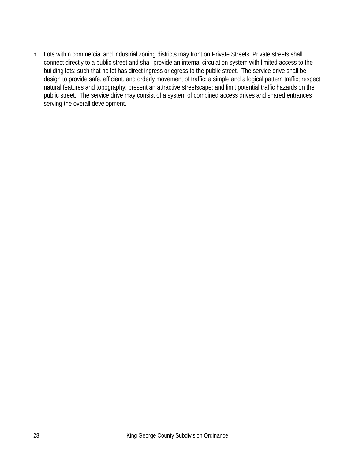h. Lots within commercial and industrial zoning districts may front on Private Streets. Private streets shall connect directly to a public street and shall provide an internal circulation system with limited access to the building lots; such that no lot has direct ingress or egress to the public street. The service drive shall be design to provide safe, efficient, and orderly movement of traffic; a simple and a logical pattern traffic; respect natural features and topography; present an attractive streetscape; and limit potential traffic hazards on the public street. The service drive may consist of a system of combined access drives and shared entrances serving the overall development.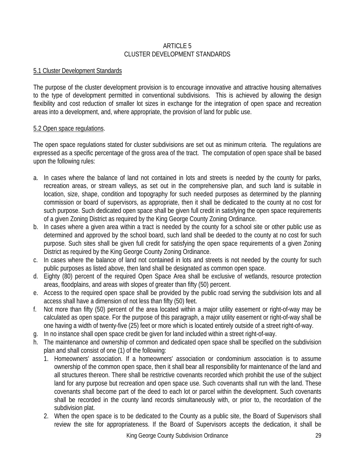#### ARTICLE 5 CLUSTER DEVELOPMENT STANDARDS

#### 5.1 Cluster Development Standards

The purpose of the cluster development provision is to encourage innovative and attractive housing alternatives to the type of development permitted in conventional subdivisions. This is achieved by allowing the design flexibility and cost reduction of smaller lot sizes in exchange for the integration of open space and recreation areas into a development, and, where appropriate, the provision of land for public use.

#### 5.2 Open space regulations.

The open space regulations stated for cluster subdivisions are set out as minimum criteria. The regulations are expressed as a specific percentage of the gross area of the tract. The computation of open space shall be based upon the following rules:

- a. In cases where the balance of land not contained in lots and streets is needed by the county for parks, recreation areas, or stream valleys, as set out in the comprehensive plan, and such land is suitable in location, size, shape, condition and topography for such needed purposes as determined by the planning commission or board of supervisors, as appropriate, then it shall be dedicated to the county at no cost for such purpose. Such dedicated open space shall be given full credit in satisfying the open space requirements of a given Zoning District as required by the King George County Zoning Ordinance.
- b. In cases where a given area within a tract is needed by the county for a school site or other public use as determined and approved by the school board, such land shall be deeded to the county at no cost for such purpose. Such sites shall be given full credit for satisfying the open space requirements of a given Zoning District as required by the King George County Zoning Ordinance.
- c. In cases where the balance of land not contained in lots and streets is not needed by the county for such public purposes as listed above, then land shall be designated as common open space.
- d. Eighty (80) percent of the required Open Space Area shall be exclusive of wetlands, resource protection areas, floodplains, and areas with slopes of greater than fifty (50) percent.
- e. Access to the required open space shall be provided by the public road serving the subdivision lots and all access shall have a dimension of not less than fifty (50) feet.
- f. Not more than fifty (50) percent of the area located within a major utility easement or right-of-way may be calculated as open space. For the purpose of this paragraph, a major utility easement or right-of-way shall be one having a width of twenty-five (25) feet or more which is located entirely outside of a street right-of-way.
- g. In no instance shall open space credit be given for land included within a street right-of-way.
- h. The maintenance and ownership of common and dedicated open space shall be specified on the subdivision plan and shall consist of one (1) of the following:
	- 1. Homeowners' association. If a homeowners' association or condominium association is to assume ownership of the common open space, then it shall bear all responsibility for maintenance of the land and all structures thereon. There shall be restrictive covenants recorded which prohibit the use of the subject land for any purpose but recreation and open space use. Such covenants shall run with the land. These covenants shall become part of the deed to each lot or parcel within the development. Such covenants shall be recorded in the county land records simultaneously with, or prior to, the recordation of the subdivision plat.
	- 2. When the open space is to be dedicated to the County as a public site, the Board of Supervisors shall review the site for appropriateness. If the Board of Supervisors accepts the dedication, it shall be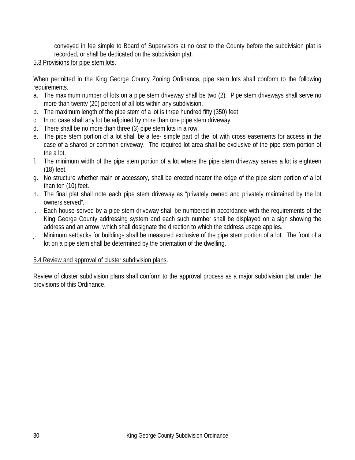conveyed in fee simple to Board of Supervisors at no cost to the County before the subdivision plat is recorded, or shall be dedicated on the subdivision plat.

# 5.3 Provisions for pipe stem lots.

When permitted in the King George County Zoning Ordinance, pipe stem lots shall conform to the following requirements.

- a. The maximum number of lots on a pipe stem driveway shall be two (2). Pipe stem driveways shall serve no more than twenty (20) percent of all lots within any subdivision.
- b. The maximum length of the pipe stem of a lot is three hundred fifty (350) feet.
- c. In no case shall any lot be adjoined by more than one pipe stem driveway.
- d. There shall be no more than three (3) pipe stem lots in a row.
- e. The pipe stem portion of a lot shall be a fee- simple part of the lot with cross easements for access in the case of a shared or common driveway. The required lot area shall be exclusive of the pipe stem portion of the a lot.
- f. The minimum width of the pipe stem portion of a lot where the pipe stem driveway serves a lot is eighteen (18) feet.
- g. No structure whether main or accessory, shall be erected nearer the edge of the pipe stem portion of a lot than ten (10) feet.
- h. The final plat shall note each pipe stem driveway as "privately owned and privately maintained by the lot owners served".
- i. Each house served by a pipe stem driveway shall be numbered in accordance with the requirements of the King George County addressing system and each such number shall be displayed on a sign showing the address and an arrow, which shall designate the direction to which the address usage applies.
- j. Minimum setbacks for buildings shall be measured exclusive of the pipe stem portion of a lot. The front of a lot on a pipe stem shall be determined by the orientation of the dwelling.

# 5.4 Review and approval of cluster subdivision plans.

Review of cluster subdivision plans shall conform to the approval process as a major subdivision plat under the provisions of this Ordinance.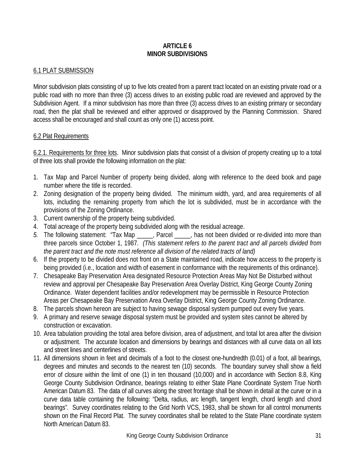#### **ARTICLE 6 MINOR SUBDIVISIONS**

#### 6.1 PLAT SUBMISSION

Minor subdivision plats consisting of up to five lots created from a parent tract located on an existing private road or a public road with no more than three (3) access drives to an existing public road are reviewed and approved by the Subdivision Agent. If a minor subdivision has more than three (3) access drives to an existing primary or secondary road, then the plat shall be reviewed and either approved or disapproved by the Planning Commission. Shared access shall be encouraged and shall count as only one (1) access point.

#### 6.2 Plat Requirements

6.2.1. Requirements for three lots. Minor subdivision plats that consist of a division of property creating up to a total of three lots shall provide the following information on the plat:

- 1. Tax Map and Parcel Number of property being divided, along with reference to the deed book and page number where the title is recorded.
- 2. Zoning designation of the property being divided. The minimum width, yard, and area requirements of all lots, including the remaining property from which the lot is subdivided, must be in accordance with the provisions of the Zoning Ordinance.
- 3. Current ownership of the property being subdivided.
- 4. Total acreage of the property being subdivided along with the residual acreage.
- *5.* The following statement: "Tax Map \_\_\_\_\_, Parcel \_\_\_\_\_, has not been divided or re-divided into more than three parcels since October 1, 1987. *(This statement refers to the parent tract and all parcels divided from the parent tract and the note must reference all division of the related tracts of land)*
- 6. If the property to be divided does not front on a State maintained road, indicate how access to the property is being provided (i.e., location and width of easement in conformance with the requirements of this ordinance).
- 7. Chesapeake Bay Preservation Area designated Resource Protection Areas May Not Be Disturbed without review and approval per Chesapeake Bay Preservation Area Overlay District, King George County Zoning Ordinance. Water dependent facilities and/or redevelopment may be permissible in Resource Protection Areas per Chesapeake Bay Preservation Area Overlay District, King George County Zoning Ordinance.
- 8. The parcels shown hereon are subject to having sewage disposal system pumped out every five years.
- 9. A primary and reserve sewage disposal system must be provided and system sites cannot be altered by construction or excavation.
- 10. Area tabulation providing the total area before division, area of adjustment, and total lot area after the division or adjustment. The accurate location and dimensions by bearings and distances with all curve data on all lots and street lines and centerlines of streets.
- 11. All dimensions shown in feet and decimals of a foot to the closest one-hundredth (0.01) of a foot, all bearings, degrees and minutes and seconds to the nearest ten (10) seconds. The boundary survey shall show a field error of closure within the limit of one (1) in ten thousand (10,000) and in accordance with Section 8.8, King George County Subdivision Ordinance, bearings relating to either State Plane Coordinate System True North American Datum 83. The data of all curves along the street frontage shall be shown in detail at the curve or in a curve data table containing the following: "Delta, radius, arc length, tangent length, chord length and chord bearings". Survey coordinates relating to the Grid North VCS, 1983, shall be shown for all control monuments shown on the Final Record Plat. The survey coordinates shall be related to the State Plane coordinate system North American Datum 83.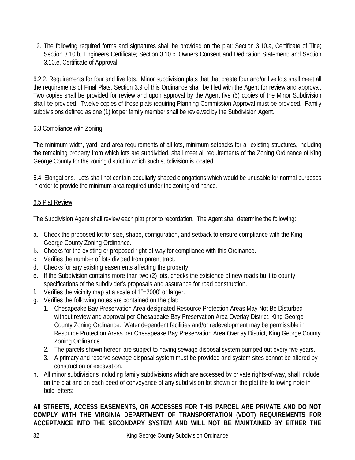12. The following required forms and signatures shall be provided on the plat: Section 3.10.a, Certificate of Title; Section 3.10.b, Engineers Certificate; Section 3.10.c, Owners Consent and Dedication Statement; and Section 3.10.e, Certificate of Approval.

6.2.2. Requirements for four and five lots. Minor subdivision plats that that create four and/or five lots shall meet all the requirements of Final Plats, Section 3.9 of this Ordinance shall be filed with the Agent for review and approval. Two copies shall be provided for review and upon approval by the Agent five (5) copies of the Minor Subdivision shall be provided. Twelve copies of those plats requiring Planning Commission Approval must be provided. Family subdivisions defined as one (1) lot per family member shall be reviewed by the Subdivision Agent.

# 6.3 Compliance with Zoning

The minimum width, yard, and area requirements of all lots, minimum setbacks for all existing structures, including the remaining property from which lots are subdivided, shall meet all requirements of the Zoning Ordinance of King George County for the zoning district in which such subdivision is located.

6.4. Elongations. Lots shall not contain peculiarly shaped elongations which would be unusable for normal purposes in order to provide the minimum area required under the zoning ordinance*.* 

# 6.5 Plat Review

The Subdivision Agent shall review each plat prior to recordation. The Agent shall determine the following:

- a. Check the proposed lot for size, shape, configuration, and setback to ensure compliance with the King George County Zoning Ordinance.
- b. Checks for the existing or proposed right-of-way for compliance with this Ordinance.
- c. Verifies the number of lots divided from parent tract.
- d. Checks for any existing easements affecting the property.
- e. If the Subdivision contains more than two (2) lots, checks the existence of new roads built to county specifications of the subdivider's proposals and assurance for road construction.
- f. Verifies the vicinity map at a scale of 1"=2000' or larger.
- g. Verifies the following notes are contained on the plat:
	- 1. Chesapeake Bay Preservation Area designated Resource Protection Areas May Not Be Disturbed without review and approval per Chesapeake Bay Preservation Area Overlay District, King George County Zoning Ordinance. Water dependent facilities and/or redevelopment may be permissible in Resource Protection Areas per Chesapeake Bay Preservation Area Overlay District, King George County Zoning Ordinance.
	- 2. The parcels shown hereon are subject to having sewage disposal system pumped out every five years.
	- 3. A primary and reserve sewage disposal system must be provided and system sites cannot be altered by construction or excavation.
- h. All minor subdivisions including family subdivisions which are accessed by private rights-of-way, shall include on the plat and on each deed of conveyance of any subdivision lot shown on the plat the following note in bold letters:

# **All STREETS, ACCESS EASEMENTS, OR ACCESSES FOR THIS PARCEL ARE PRIVATE AND DO NOT COMPLY WITH THE VIRGINIA DEPARTMENT OF TRANSPORTATION (VDOT) REQUIREMENTS FOR ACCEPTANCE INTO THE SECONDARY SYSTEM AND WILL NOT BE MAINTAINED BY EITHER THE**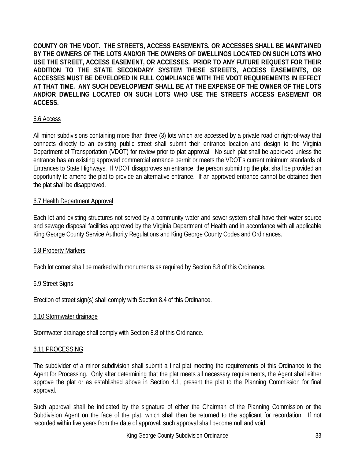**COUNTY OR THE VDOT. THE STREETS, ACCESS EASEMENTS, OR ACCESSES SHALL BE MAINTAINED BY THE OWNERS OF THE LOTS AND/OR THE OWNERS OF DWELLINGS LOCATED ON SUCH LOTS WHO USE THE STREET, ACCESS EASEMENT, OR ACCESSES. PRIOR TO ANY FUTURE REQUEST FOR THEIR ADDITION TO THE STATE SECONDARY SYSTEM THESE STREETS, ACCESS EASEMENTS, OR ACCESSES MUST BE DEVELOPED IN FULL COMPLIANCE WITH THE VDOT REQUIREMENTS IN EFFECT AT THAT TIME. ANY SUCH DEVELOPMENT SHALL BE AT THE EXPENSE OF THE OWNER OF THE LOTS AND/OR DWELLING LOCATED ON SUCH LOTS WHO USE THE STREETS ACCESS EASEMENT OR ACCESS.**

# 6.6 Access

All minor subdivisions containing more than three (3) lots which are accessed by a private road or right-of-way that connects directly to an existing public street shall submit their entrance location and design to the Virginia Department of Transportation (VDOT) for review prior to plat approval. No such plat shall be approved unless the entrance has an existing approved commercial entrance permit or meets the VDOT's current minimum standards of Entrances to State Highways. If VDOT disapproves an entrance, the person submitting the plat shall be provided an opportunity to amend the plat to provide an alternative entrance. If an approved entrance cannot be obtained then the plat shall be disapproved.

# 6.7 Health Department Approval

Each lot and existing structures not served by a community water and sewer system shall have their water source and sewage disposal facilities approved by the Virginia Department of Health and in accordance with all applicable King George County Service Authority Regulations and King George County Codes and Ordinances.

## 6.8 Property Markers

Each lot corner shall be marked with monuments as required by Section 8.8 of this Ordinance.

# 6.9 Street Signs

Erection of street sign(s) shall comply with Section 8.4 of this Ordinance.

## 6.10 Stormwater drainage

Stormwater drainage shall comply with Section 8.8 of this Ordinance.

# 6.11 PROCESSING

The subdivider of a minor subdivision shall submit a final plat meeting the requirements of this Ordinance to the Agent for Processing. Only after determining that the plat meets all necessary requirements, the Agent shall either approve the plat or as established above in Section 4.1, present the plat to the Planning Commission for final approval.

Such approval shall be indicated by the signature of either the Chairman of the Planning Commission or the Subdivision Agent on the face of the plat, which shall then be returned to the applicant for recordation. If not recorded within five years from the date of approval, such approval shall become null and void.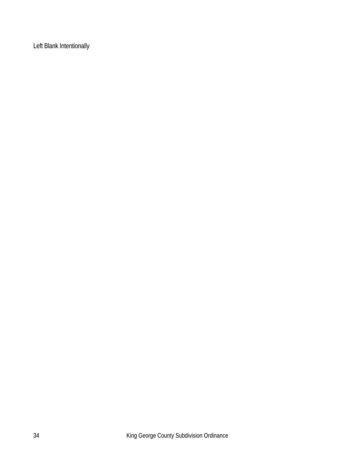Left Blank Intentionally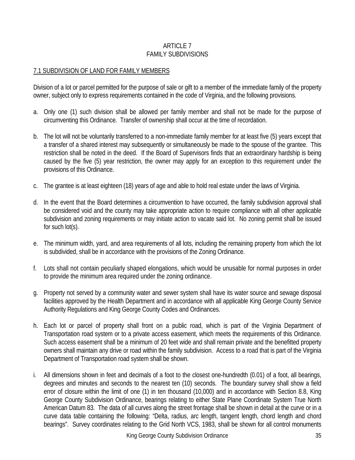## ARTICLE 7 FAMILY SUBDIVISIONS

#### 7.1 SUBDIVISION OF LAND FOR FAMILY MEMBERS

Division of a lot or parcel permitted for the purpose of sale or gift to a member of the immediate family of the property owner, subject only to express requirements contained in the code of Virginia, and the following provisions.

- a. Only one (1) such division shall be allowed per family member and shall not be made for the purpose of circumventing this Ordinance.Transfer of ownership shall occur at the time of recordation.
- b. The lot will not be voluntarily transferred to a non-immediate family member for at least five (5) years except that a transfer of a shared interest may subsequently or simultaneously be made to the spouse of the grantee. This restriction shall be noted in the deed. If the Board of Supervisors finds that an extraordinary hardship is being caused by the five (5) year restriction, the owner may apply for an exception to this requirement under the provisions of this Ordinance.
- c. The grantee is at least eighteen (18) years of age and able to hold real estate under the laws of Virginia.
- d. In the event that the Board determines a circumvention to have occurred, the family subdivision approval shall be considered void and the county may take appropriate action to require compliance with all other applicable subdivision and zoning requirements or may initiate action to vacate said lot. No zoning permit shall be issued for such lot(s).
- e. The minimum width, yard, and area requirements of all lots, including the remaining property from which the lot is subdivided, shall be in accordance with the provisions of the Zoning Ordinance.
- f. Lots shall not contain peculiarly shaped elongations, which would be unusable for normal purposes in order to provide the minimum area required under the zoning ordinance.
- g. Property not served by a community water and sewer system shall have its water source and sewage disposal facilities approved by the Health Department and in accordance with all applicable King George County Service Authority Regulations and King George County Codes and Ordinances.
- h. Each lot or parcel of property shall front on a public road, which is part of the Virginia Department of Transportation road system or to a private access easement, which meets the requirements of this Ordinance. Such access easement shall be a minimum of 20 feet wide and shall remain private and the benefitted property owners shall maintain any drive or road within the family subdivision. Access to a road that is part of the Virginia Department of Transportation road system shall be shown.
- i. All dimensions shown in feet and decimals of a foot to the closest one-hundredth (0.01) of a foot, all bearings, degrees and minutes and seconds to the nearest ten (10) seconds. The boundary survey shall show a field error of closure within the limit of one (1) in ten thousand (10,000) and in accordance with Section 8.8, King George County Subdivision Ordinance, bearings relating to either State Plane Coordinate System True North American Datum 83. The data of all curves along the street frontage shall be shown in detail at the curve or in a curve data table containing the following: "Delta, radius, arc length, tangent length, chord length and chord bearings". Survey coordinates relating to the Grid North VCS, 1983, shall be shown for all control monuments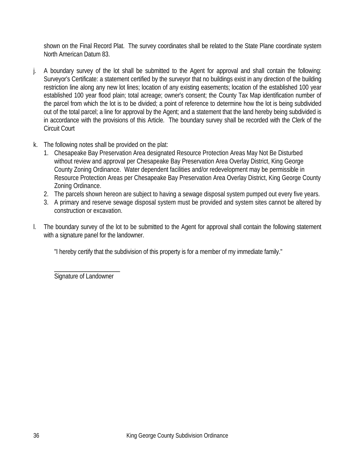shown on the Final Record Plat. The survey coordinates shall be related to the State Plane coordinate system North American Datum 83.

- j. A boundary survey of the lot shall be submitted to the Agent for approval and shall contain the following: Surveyor's Certificate: a statement certified by the surveyor that no buildings exist in any direction of the building restriction line along any new lot lines; location of any existing easements; location of the established 100 year established 100 year flood plain; total acreage; owner's consent; the County Tax Map identification number of the parcel from which the lot is to be divided; a point of reference to determine how the lot is being subdivided out of the total parcel; a line for approval by the Agent; and a statement that the land hereby being subdivided is in accordance with the provisions of this Article. The boundary survey shall be recorded with the Clerk of the Circuit Court
- k. The following notes shall be provided on the plat:
	- 1. Chesapeake Bay Preservation Area designated Resource Protection Areas May Not Be Disturbed without review and approval per Chesapeake Bay Preservation Area Overlay District, King George County Zoning Ordinance. Water dependent facilities and/or redevelopment may be permissible in Resource Protection Areas per Chesapeake Bay Preservation Area Overlay District, King George County Zoning Ordinance.
	- 2. The parcels shown hereon are subject to having a sewage disposal system pumped out every five years.
	- 3. A primary and reserve sewage disposal system must be provided and system sites cannot be altered by construction or excavation.
- l. The boundary survey of the lot to be submitted to the Agent for approval shall contain the following statement with a signature panel for the landowner.

"I hereby certify that the subdivision of this property is for a member of my immediate family."

 $\overline{\phantom{a}}$  , where  $\overline{\phantom{a}}$ Signature of Landowner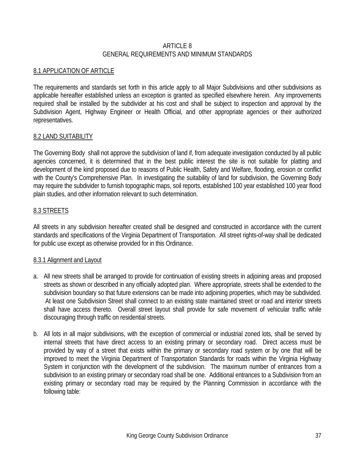#### ARTICLE 8 GENERAL REQUIREMENTS AND MINIMUM STANDARDS

#### 8.1 APPLICATION OF ARTICLE

The requirements and standards set forth in this article apply to all Major Subdivisions and other subdivisions as applicable hereafter established unless an exception is granted as specified elsewhere herein. Any improvements required shall be installed by the subdivider at his cost and shall be subject to inspection and approval by the Subdivision Agent, Highway Engineer or Health Official, and other appropriate agencies or their authorized representatives.

#### 8.2 LAND SUITABILITY

The Governing Body shall not approve the subdivision of land if, from adequate investigation conducted by all public agencies concerned, it is determined that in the best public interest the site is not suitable for platting and development of the kind proposed due to reasons of Public Health, Safety and Welfare, flooding, erosion or conflict with the County's Comprehensive Plan. In investigating the suitability of land for subdivision, the Governing Body may require the subdivider to furnish topographic maps, soil reports, established 100 year established 100 year flood plain studies, and other information relevant to such determination.

#### 8.3 STREETS

All streets in any subdivision hereafter created shall be designed and constructed in accordance with the current standards and specifications of the Virginia Department of Transportation. All street rights-of-way shall be dedicated for public use except as otherwise provided for in this Ordinance.

#### 8.3.1 Alignment and Layout

- a. All new streets shall be arranged to provide for continuation of existing streets in adjoining areas and proposed streets as shown or described in any officially adopted plan. Where appropriate, streets shall be extended to the subdivision boundary so that future extensions can be made into adjoining properties, which may be subdivided. At least one Subdivision Street shall connect to an existing state maintained street or road and interior streets shall have access thereto. Overall street layout shall provide for safe movement of vehicular traffic while discouraging through traffic on residential streets.
- b. All lots in all major subdivisions, with the exception of commercial or industrial zoned lots, shall be served by internal streets that have direct access to an existing primary or secondary road. Direct access must be provided by way of a street that exists within the primary or secondary road system or by one that will be improved to meet the Virginia Department of Transportation Standards for roads within the Virginia Highway System in conjunction with the development of the subdivision. The maximum number of entrances from a subdivision to an existing primary or secondary road shall be one. Additional entrances to a Subdivision from an existing primary or secondary road may be required by the Planning Commission in accordance with the following table: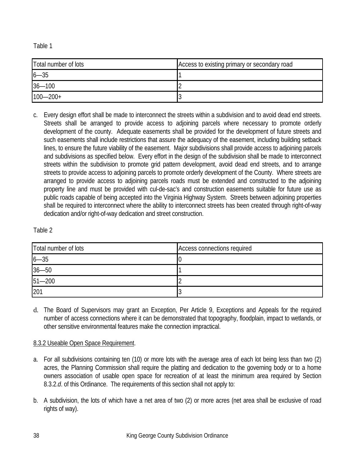Table 1

| Total number of lots | Access to existing primary or secondary road |  |  |
|----------------------|----------------------------------------------|--|--|
| $6 - 35$             |                                              |  |  |
| $36 - 100$           |                                              |  |  |
| $100 - 200 +$        |                                              |  |  |

c. Every design effort shall be made to interconnect the streets within a subdivision and to avoid dead end streets. Streets shall be arranged to provide access to adjoining parcels where necessary to promote orderly development of the county. Adequate easements shall be provided for the development of future streets and such easements shall include restrictions that assure the adequacy of the easement, including building setback lines, to ensure the future viability of the easement. Major subdivisions shall provide access to adjoining parcels and subdivisions as specified below. Every effort in the design of the subdivision shall be made to interconnect streets within the subdivision to promote grid pattern development, avoid dead end streets, and to arrange streets to provide access to adjoining parcels to promote orderly development of the County. Where streets are arranged to provide access to adjoining parcels roads must be extended and constructed to the adjoining property line and must be provided with cul-de-sac's and construction easements suitable for future use as public roads capable of being accepted into the Virginia Highway System. Streets between adjoining properties shall be required to interconnect where the ability to interconnect streets has been created through right-of-way dedication and/or right-of-way dedication and street construction.

| Total number of lots | Access connections required |  |  |
|----------------------|-----------------------------|--|--|
| $6 - 35$             |                             |  |  |
| $36 - 50$            |                             |  |  |
| $51 - 200$           |                             |  |  |
| 201                  |                             |  |  |

Table 2

d. The Board of Supervisors may grant an Exception, Per Article 9, Exceptions and Appeals for the required number of access connections where it can be demonstrated that topography, floodplain, impact to wetlands, or other sensitive environmental features make the connection impractical.

## 8.3.2 Useable Open Space Requirement.

- a. For all subdivisions containing ten (10) or more lots with the average area of each lot being less than two (2) acres, the Planning Commission shall require the platting and dedication to the governing body or to a home owners association of usable open space for recreation of at least the minimum area required by Section 8.3.2.*d*. of this Ordinance. The requirements of this section shall not apply to:
- b. A subdivision, the lots of which have a net area of two (2) or more acres (net area shall be exclusive of road rights of way).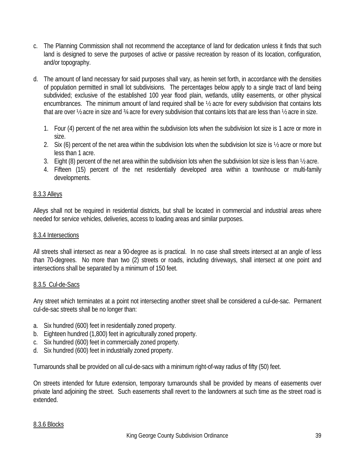- c. The Planning Commission shall not recommend the acceptance of land for dedication unless it finds that such land is designed to serve the purposes of active or passive recreation by reason of its location, configuration, and/or topography.
- d. The amount of land necessary for said purposes shall vary, as herein set forth, in accordance with the densities of population permitted in small lot subdivisions. The percentages below apply to a single tract of land being subdivided; exclusive of the established 100 year flood plain, wetlands, utility easements, or other physical encumbrances. The minimum amount of land required shall be ½ acre for every subdivision that contains lots that are over ½ acre in size and ¾ acre for every subdivision that contains lots that are less than ½ acre in size.
	- 1. Four (4) percent of the net area within the subdivision lots when the subdivision lot size is 1 acre or more in size.
	- 2. Six (6) percent of the net area within the subdivision lots when the subdivision lot size is ½ acre or more but less than 1 acre.
	- 3. Eight (8) percent of the net area within the subdivision lots when the subdivision lot size is less than ½ acre.
	- 4. Fifteen (15) percent of the net residentially developed area within a townhouse or multi-family developments.

# 8.3.3 Alleys

Alleys shall not be required in residential districts, but shall be located in commercial and industrial areas where needed for service vehicles, deliveries, access to loading areas and similar purposes.

## 8.3.4 Intersections

All streets shall intersect as near a 90-degree as is practical. In no case shall streets intersect at an angle of less than 70-degrees. No more than two (2) streets or roads, including driveways, shall intersect at one point and intersections shall be separated by a minimum of 150 feet.

## 8.3.5 Cul-de-Sacs

Any street which terminates at a point not intersecting another street shall be considered a cul-de-sac. Permanent cul-de-sac streets shall be no longer than:

- a. Six hundred (600) feet in residentially zoned property.
- b. Eighteen hundred (1,800) feet in agriculturally zoned property.
- c. Six hundred (600) feet in commercially zoned property.
- d. Six hundred (600) feet in industrially zoned property.

Turnarounds shall be provided on all cul-de-sacs with a minimum right-of-way radius of fifty (50) feet.

On streets intended for future extension, temporary turnarounds shall be provided by means of easements over private land adjoining the street. Such easements shall revert to the landowners at such time as the street road is extended.

# 8.3.6 Blocks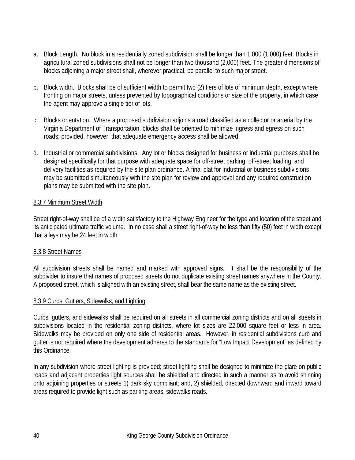- a. Block Length. No block in a residentially zoned subdivision shall be longer than 1,000 (1,000) feet. Blocks in agricultural zoned subdivisions shall not be longer than two thousand (2,000) feet. The greater dimensions of blocks adjoining a major street shall, wherever practical, be parallel to such major street.
- b. Block width. Blocks shall be of sufficient width to permit two (2) tiers of lots of minimum depth, except where fronting on major streets, unless prevented by topographical conditions or size of the property, in which case the agent may approve a single tier of lots.
- c. Blocks orientation. Where a proposed subdivision adjoins a road classified as a collector or arterial by the Virginia Department of Transportation, blocks shall be oriented to minimize ingress and egress on such roads; provided, however, that adequate emergency access shall be allowed.
- d. Industrial or commercial subdivisions. Any lot or blocks designed for business or industrial purposes shall be designed specifically for that purpose with adequate space for off-street parking, off-street loading, and delivery facilities as required by the site plan ordinance. A final plat for industrial or business subdivisions may be submitted simultaneously with the site plan for review and approval and any required construction plans may be submitted with the site plan.

#### 8.3.7 Minimum Street Width

Street right-of-way shall be of a width satisfactory to the Highway Engineer for the type and location of the street and its anticipated ultimate traffic volume. In no case shall a street right-of-way be less than fifty (50) feet in width except that alleys may be 24 feet in width.

## 8.3.8 Street Names

All subdivision streets shall be named and marked with approved signs. It shall be the responsibility of the subdivider to insure that names of proposed streets do not duplicate existing street names anywhere in the County. A proposed street, which is aligned with an existing street, shall bear the same name as the existing street.

## 8.3.9 Curbs, Gutters, Sidewalks, and Lighting

Curbs, gutters, and sidewalks shall be required on all streets in all commercial zoning districts and on all streets in subdivisions located in the residential zoning districts, where lot sizes are 22,000 square feet or less in area. Sidewalks may be provided on only one side of residential areas. However, in residential subdivisions curb and gutter is not required where the development adheres to the standards for "Low Impact Development" as defined by this Ordinance.

In any subdivision where street lighting is provided; street lighting shall be designed to minimize the glare on public roads and adjacent properties light sources shall be shielded and directed in such a manner as to avoid shinning onto adjoining properties or streets 1) dark sky compliant; and, 2) shielded, directed downward and inward toward areas required to provide light such as parking areas, sidewalks roads.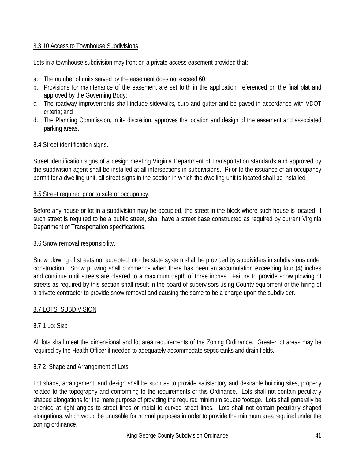# 8.3.10 Access to Townhouse Subdivisions

Lots in a townhouse subdivision may front on a private access easement provided that:

- a. The number of units served by the easement does not exceed 60;
- b. Provisions for maintenance of the easement are set forth in the application, referenced on the final plat and approved by the Governing Body;
- c. The roadway improvements shall include sidewalks, curb and gutter and be paved in accordance with VDOT criteria; and
- d. The Planning Commission, in its discretion, approves the location and design of the easement and associated parking areas.

# 8.4 Street identification signs.

Street identification signs of a design meeting Virginia Department of Transportation standards and approved by the subdivision agent shall be installed at all intersections in subdivisions. Prior to the issuance of an occupancy permit for a dwelling unit, all street signs in the section in which the dwelling unit is located shall be installed.

## 8.5 Street required prior to sale or occupancy.

Before any house or lot in a subdivision may be occupied, the street in the block where such house is located, if such street is required to be a public street, shall have a street base constructed as required by current Virginia Department of Transportation specifications.

## 8.6 Snow removal responsibility.

Snow plowing of streets not accepted into the state system shall be provided by subdividers in subdivisions under construction. Snow plowing shall commence when there has been an accumulation exceeding four (4) inches and continue until streets are cleared to a maximum depth of three inches. Failure to provide snow plowing of streets as required by this section shall result in the board of supervisors using County equipment or the hiring of a private contractor to provide snow removal and causing the same to be a charge upon the subdivider.

# 8.7 LOTS, SUBDIVISION

# 8.7.1 Lot Size

All lots shall meet the dimensional and lot area requirements of the Zoning Ordinance. Greater lot areas may be required by the Health Officer if needed to adequately accommodate septic tanks and drain fields.

## 8.7.2 Shape and Arrangement of Lots

Lot shape, arrangement, and design shall be such as to provide satisfactory and desirable building sites, properly related to the topography and conforming to the requirements of this Ordinance. Lots shall not contain peculiarly shaped elongations for the mere purpose of providing the required minimum square footage. Lots shall generally be oriented at right angles to street lines or radial to curved street lines. Lots shall not contain peculiarly shaped elongations, which would be unusable for normal purposes in order to provide the minimum area required under the zoning ordinance.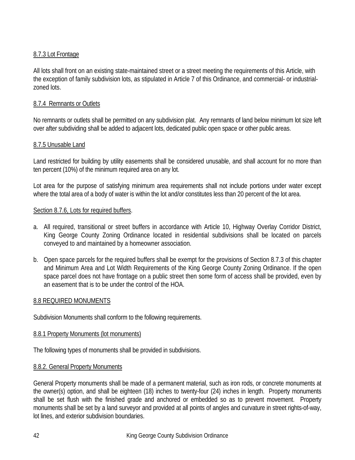# 8.7.3 Lot Frontage

All lots shall front on an existing state-maintained street or a street meeting the requirements of this Article, with the exception of family subdivision lots, as stipulated in Article 7 of this Ordinance, and commercial- or industrialzoned lots.

## 8.7.4 Remnants or Outlets

No remnants or outlets shall be permitted on any subdivision plat. Any remnants of land below minimum lot size left over after subdividing shall be added to adjacent lots, dedicated public open space or other public areas.

## 8.7.5 Unusable Land

Land restricted for building by utility easements shall be considered unusable, and shall account for no more than ten percent (10%) of the minimum required area on any lot.

Lot area for the purpose of satisfying minimum area requirements shall not include portions under water except where the total area of a body of water is within the lot and/or constitutes less than 20 percent of the lot area.

## Section 8.7.6, Lots for required buffers.

- a. All required, transitional or street buffers in accordance with Article 10, Highway Overlay Corridor District, King George County Zoning Ordinance located in residential subdivisions shall be located on parcels conveyed to and maintained by a homeowner association.
- b. Open space parcels for the required buffers shall be exempt for the provisions of Section 8.7.3 of this chapter and Minimum Area and Lot Width Requirements of the King George County Zoning Ordinance. If the open space parcel does not have frontage on a public street then some form of access shall be provided, even by an easement that is to be under the control of the HOA.

#### 8.8 REQUIRED MONUMENTS

Subdivision Monuments shall conform to the following requirements.

## 8.8.1 Property Monuments (lot monuments)

The following types of monuments shall be provided in subdivisions.

## 8.8.2. General Property Monuments

General Property monuments shall be made of a permanent material, such as iron rods, or concrete monuments at the owner(s) option, and shall be eighteen (18) inches to twenty-four (24) inches in length. Property monuments shall be set flush with the finished grade and anchored or embedded so as to prevent movement. Property monuments shall be set by a land surveyor and provided at all points of angles and curvature in street rights-of-way, lot lines, and exterior subdivision boundaries.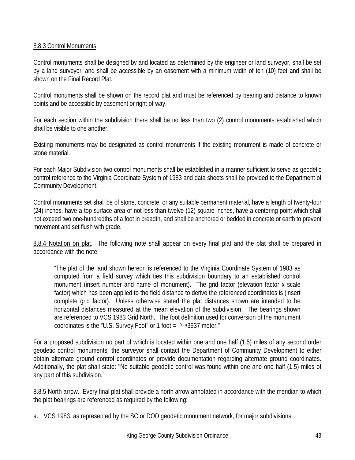## 8.8.3 Control Monuments

Control monuments shall be designed by and located as determined by the engineer or land surveyor, shall be set by a land surveyor, and shall be accessible by an easement with a minimum width of ten (10) feet and shall be shown on the Final Record Plat.

Control monuments shall be shown on the record plat and must be referenced by bearing and distance to known points and be accessible by easement or right-of-way.

For each section within the subdivision there shall be no less than two (2) control monuments established which shall be visible to one another.

Existing monuments may be designated as control monuments if the existing monument is made of concrete or stone material.

For each Major Subdivision two control monuments shall be established in a manner sufficient to serve as geodetic control reference to the Virginia Coordinate System of 1983 and data sheets shall be provided to the Department of Community Development.

Control monuments set shall be of stone, concrete, or any suitable permanent material, have a length of twenty-four (24) inches, have a top surface area of not less than twelve (12) square inches, have a centering point which shall not exceed two one-hundredths of a foot in breadth, and shall be anchored or bedded in concrete or earth to prevent movement and set flush with grade.

8.8.4 Notation on plat. The following note shall appear on every final plat and the plat shall be prepared in accordance with the note:

"The plat of the land shown hereon is referenced to the Virginia Coordinate System of 1983 as computed from a field survey which ties this subdivision boundary to an established control monument (insert number and name of monument). The grid factor (elevation factor x scale factor) which has been applied to the field distance to derive the referenced coordinates is (insert complete grid factor). Unless otherwise stated the plat distances shown are intended to be horizontal distances measured at the mean elevation of the subdivision. The bearings shown are referenced to VCS 1983 Grid North. The foot definition used for conversion of the monument coordinates is the "U.S. Survey Foot" or 1 foot = "^00/3937 meter."

For a proposed subdivision no part of which is located within one and one half (1.5) miles of any second order geodetic control monuments, the surveyor shall contact the Department of Community Development to either obtain alternate ground control coordinates or provide documentation regarding alternate ground coordinates. Additionally, the plat shall state: "No suitable geodetic control was found within one and one half (1.5) miles of any part of this subdivision."

8.8.5 North arrow. Every final plat shall provide a north arrow annotated in accordance with the meridian to which the plat bearings are referenced as required by the following:

a. VCS 1983, as represented by the SC or DOD geodetic monument network, for major subdivisions.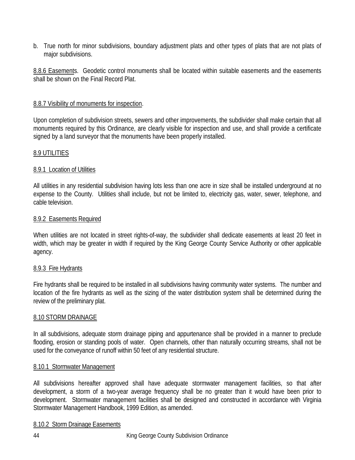b. True north for minor subdivisions, boundary adjustment plats and other types of plats that are not plats of major subdivisions.

8.8.6 Easements. Geodetic control monuments shall be located within suitable easements and the easements shall be shown on the Final Record Plat.

#### 8.8.7 Visibility of monuments for inspection.

Upon completion of subdivision streets, sewers and other improvements, the subdivider shall make certain that all monuments required by this Ordinance, are clearly visible for inspection and use, and shall provide a certificate signed by a land surveyor that the monuments have been properly installed.

#### 8.9 UTILITIES

## 8.9.1 Location of Utilities

All utilities in any residential subdivision having lots less than one acre in size shall be installed underground at no expense to the County. Utilities shall include, but not be limited to, electricity gas, water, sewer, telephone, and cable television.

#### 8.9.2 Easements Required

When utilities are not located in street rights-of-way, the subdivider shall dedicate easements at least 20 feet in width, which may be greater in width if required by the King George County Service Authority or other applicable agency.

## 8.9.3 Fire Hydrants

Fire hydrants shall be required to be installed in all subdivisions having community water systems. The number and location of the fire hydrants as well as the sizing of the water distribution system shall be determined during the review of the preliminary plat.

## 8.10 STORM DRAINAGE

In all subdivisions, adequate storm drainage piping and appurtenance shall be provided in a manner to preclude flooding, erosion or standing pools of water. Open channels, other than naturally occurring streams, shall not be used for the conveyance of runoff within 50 feet of any residential structure.

#### 8.10.1 Stormwater Management

All subdivisions hereafter approved shall have adequate stormwater management facilities, so that after development, a storm of a two-year average frequency shall be no greater than it would have been prior to development. Stormwater management facilities shall be designed and constructed in accordance with Virginia Stormwater Management Handbook, 1999 Edition, as amended.

#### 8.10.2 Storm Drainage Easements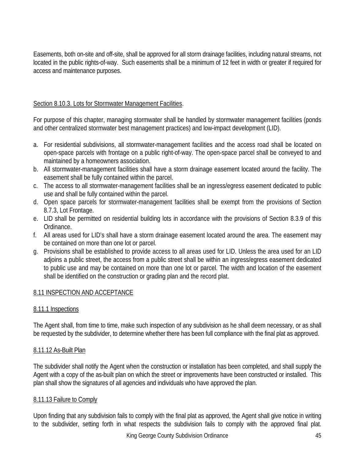Easements, both on-site and off-site, shall be approved for all storm drainage facilities, including natural streams, not located in the public rights-of-way. Such easements shall be a minimum of 12 feet in width or greater if required for access and maintenance purposes.

# Section 8.10.3. Lots for Stormwater Management Facilities.

For purpose of this chapter, managing stormwater shall be handled by stormwater management facilities (ponds and other centralized stormwater best management practices) and low-impact development (LID).

- a. For residential subdivisions, all stormwater-management facilities and the access road shall be located on open-space parcels with frontage on a public right-of-way. The open-space parcel shall be conveyed to and maintained by a homeowners association.
- b. All stormwater-management facilities shall have a storm drainage easement located around the facility. The easement shall be fully contained within the parcel.
- c. The access to all stormwater-management facilities shall be an ingress/egress easement dedicated to public use and shall be fully contained within the parcel.
- d. Open space parcels for stormwater-management facilities shall be exempt from the provisions of Section 8.7.3, Lot Frontage.
- e. LID shall be permitted on residential building lots in accordance with the provisions of Section 8.3.9 of this Ordinance.
- f. All areas used for LID's shall have a storm drainage easement located around the area. The easement may be contained on more than one lot or parcel.
- g. Provisions shall be established to provide access to all areas used for LID. Unless the area used for an LID adjoins a public street, the access from a public street shall be within an ingress/egress easement dedicated to public use and may be contained on more than one lot or parcel. The width and location of the easement shall be identified on the construction or grading plan and the record plat.

## 8.11 INSPECTION AND ACCEPTANCE

## 8.11.1 Inspections

The Agent shall, from time to time, make such inspection of any subdivision as he shall deem necessary, or as shall be requested by the subdivider, to determine whether there has been full compliance with the final plat as approved.

## 8.11.12 As-Built Plan

The subdivider shall notify the Agent when the construction or installation has been completed, and shall supply the Agent with a copy of the as-built plan on which the street or improvements have been constructed or installed. This plan shall show the signatures of all agencies and individuals who have approved the plan.

## 8.11.13 Failure to Comply

Upon finding that any subdivision fails to comply with the final plat as approved, the Agent shall give notice in writing to the subdivider, setting forth in what respects the subdivision fails to comply with the approved final plat.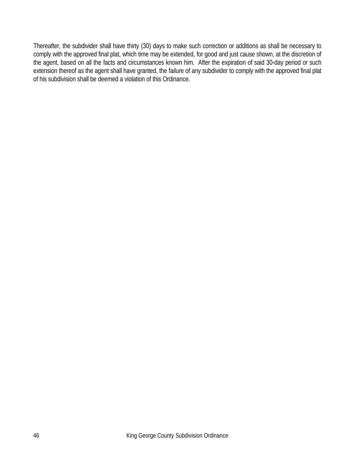Thereafter, the subdivider shall have thirty (30) days to make such correction or additions as shall be necessary to comply with the approved final plat, which time may be extended, for good and just cause shown, at the discretion of the agent, based on all the facts and circumstances known him. After the expiration of said 30-day period or such extension thereof as the agent shall have granted, the failure of any subdivider to comply with the approved final plat of his subdivision shall be deemed a violation of this Ordinance.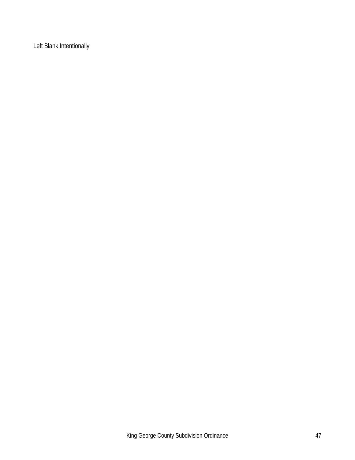Left Blank Intentionally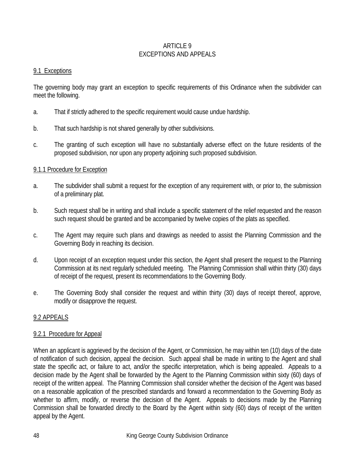#### ARTICLE 9 EXCEPTIONS AND APPEALS

#### 9.1 Exceptions

The governing body may grant an exception to specific requirements of this Ordinance when the subdivider can meet the following.

- a. That if strictly adhered to the specific requirement would cause undue hardship.
- b. That such hardship is not shared generally by other subdivisions.
- c. The granting of such exception will have no substantially adverse effect on the future residents of the proposed subdivision, nor upon any property adjoining such proposed subdivision.

# 9.1.1 Procedure for Exception

- a. The subdivider shall submit a request for the exception of any requirement with, or prior to, the submission of a preliminary plat.
- b. Such request shall be in writing and shall include a specific statement of the relief requested and the reason such request should be granted and be accompanied by twelve copies of the plats as specified.
- c. The Agent may require such plans and drawings as needed to assist the Planning Commission and the Governing Body in reaching its decision.
- d. Upon receipt of an exception request under this section, the Agent shall present the request to the Planning Commission at its next regularly scheduled meeting. The Planning Commission shall within thirty (30) days of receipt of the request, present its recommendations to the Governing Body.
- e. The Governing Body shall consider the request and within thirty (30) days of receipt thereof, approve, modify or disapprove the request.

## 9.2 APPEALS

## 9.2.1 Procedure for Appeal

When an applicant is aggrieved by the decision of the Agent, or Commission, he may within ten (10) days of the date of notification of such decision, appeal the decision. Such appeal shall be made in writing to the Agent and shall state the specific act, or failure to act, and/or the specific interpretation, which is being appealed.Appeals to a decision made by the Agent shall be forwarded by the Agent to the Planning Commission within sixty (60) days of receipt of the written appeal. The Planning Commission shall consider whether the decision of the Agent was based on a reasonable application of the prescribed standards and forward a recommendation to the Governing Body as whether to affirm, modify, or reverse the decision of the Agent. Appeals to decisions made by the Planning Commission shall be forwarded directly to the Board by the Agent within sixty (60) days of receipt of the written appeal by the Agent.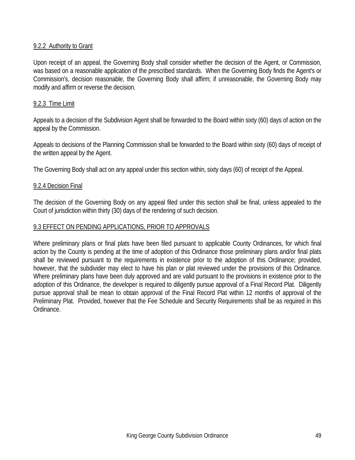## 9.2.2 Authority to Grant

Upon receipt of an appeal, the Governing Body shall consider whether the decision of the Agent, or Commission, was based on a reasonable application of the prescribed standards. When the Governing Body finds the Agent's or Commission's, decision reasonable, the Governing Body shall affirm; if unreasonable, the Governing Body may modify and affirm or reverse the decision.

## 9.2.3 Time Limit

Appeals to a decision of the Subdivision Agent shall be forwarded to the Board within sixty (60) days of action on the appeal by the Commission.

Appeals to decisions of the Planning Commission shall be forwarded to the Board within sixty (60) days of receipt of the written appeal by the Agent.

The Governing Body shall act on any appeal under this section within, sixty days (60) of receipt of the Appeal.

## 9.2.4 Decision Final

The decision of the Governing Body on any appeal filed under this section shall be final, unless appealed to the Court of jurisdiction within thirty (30) days of the rendering of such decision.

## 9.3 EFFECT ON PENDING APPLICATIONS, PRIOR TO APPROVALS

Where preliminary plans or final plats have been filed pursuant to applicable County Ordinances, for which final action by the County is pending at the time of adoption of this Ordinance those preliminary plans and/or final plats shall be reviewed pursuant to the requirements in existence prior to the adoption of this Ordinance; provided, however, that the subdivider may elect to have his plan or plat reviewed under the provisions of this Ordinance. Where preliminary plans have been duly approved and are valid pursuant to the provisions in existence prior to the adoption of this Ordinance, the developer is required to diligently pursue approval of a Final Record Plat. Diligently pursue approval shall be mean to obtain approval of the Final Record Plat within 12 months of approval of the Preliminary Plat. Provided, however that the Fee Schedule and Security Requirements shall be as required in this Ordinance.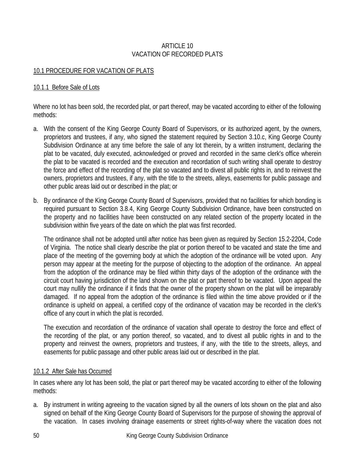## ARTICLE 10 VACATION OF RECORDED PLATS

#### 10.1 PROCEDURE FOR VACATION OF PLATS

#### 10.1.1 Before Sale of Lots

Where no lot has been sold, the recorded plat, or part thereof, may be vacated according to either of the following methods:

- a. With the consent of the King George County Board of Supervisors, or its authorized agent, by the owners, proprietors and trustees, if any, who signed the statement required by Section 3.10.c, King George County Subdivision Ordinance at any time before the sale of any lot therein, by a written instrument, declaring the plat to be vacated, duly executed, acknowledged or proved and recorded in the same clerk's office wherein the plat to be vacated is recorded and the execution and recordation of such writing shall operate to destroy the force and effect of the recording of the plat so vacated and to divest all public rights in, and to reinvest the owners, proprietors and trustees, if any, with the title to the streets, alleys, easements for public passage and other public areas laid out or described in the plat; or
- b. By ordinance of the King George County Board of Supervisors, provided that no facilities for which bonding is required pursuant to Section 3.8.4, King George County Subdivision Ordinance, have been constructed on the property and no facilities have been constructed on any related section of the property located in the subdivision within five years of the date on which the plat was first recorded.

The ordinance shall not be adopted until after notice has been given as required by Section 15.2-2204, Code of Virginia. The notice shall clearly describe the plat or portion thereof to be vacated and state the time and place of the meeting of the governing body at which the adoption of the ordinance will be voted upon. Any person may appear at the meeting for the purpose of objecting to the adoption of the ordinance. An appeal from the adoption of the ordinance may be filed within thirty days of the adoption of the ordinance with the circuit court having jurisdiction of the land shown on the plat or part thereof to be vacated. Upon appeal the court may nullify the ordinance if it finds that the owner of the property shown on the plat will be irreparably damaged. If no appeal from the adoption of the ordinance is filed within the time above provided or if the ordinance is upheld on appeal, a certified copy of the ordinance of vacation may be recorded in the clerk's office of any court in which the plat is recorded.

The execution and recordation of the ordinance of vacation shall operate to destroy the force and effect of the recording of the plat, or any portion thereof, so vacated, and to divest all public rights in and to the property and reinvest the owners, proprietors and trustees, if any, with the title to the streets, alleys, and easements for public passage and other public areas laid out or described in the plat.

## 10.1.2 After Sale has Occurred

In cases where any lot has been sold, the plat or part thereof may be vacated according to either of the following methods:

a. By instrument in writing agreeing to the vacation signed by all the owners of lots shown on the plat and also signed on behalf of the King George County Board of Supervisors for the purpose of showing the approval of the vacation. In cases involving drainage easements or street rights-of-way where the vacation does not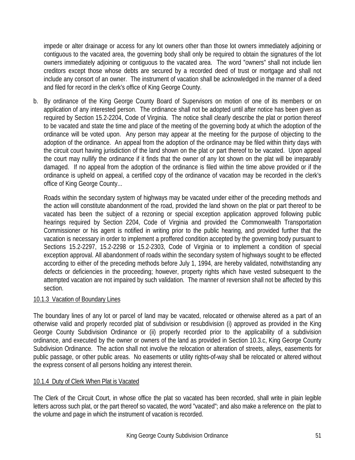impede or alter drainage or access for any lot owners other than those lot owners immediately adjoining or contiguous to the vacated area, the governing body shall only be required to obtain the signatures of the lot owners immediately adjoining or contiguous to the vacated area. The word "owners" shall not include lien creditors except those whose debts are secured by a recorded deed of trust or mortgage and shall not include any consort of an owner. The instrument of vacation shall be acknowledged in the manner of a deed and filed for record in the clerk's office of King George County.

b. By ordinance of the King George County Board of Supervisors on motion of one of its members or on application of any interested person. The ordinance shall not be adopted until after notice has been given as required by Section 15.2-2204, Code of Virginia. The notice shall clearly describe the plat or portion thereof to be vacated and state the time and place of the meeting of the governing body at which the adoption of the ordinance will be voted upon. Any person may appear at the meeting for the purpose of objecting to the adoption of the ordinance. An appeal from the adoption of the ordinance may be filed within thirty days with the circuit court having jurisdiction of the land shown on the plat or part thereof to be vacated. Upon appeal the court may nullify the ordinance if it finds that the owner of any lot shown on the plat will be irreparably damaged. If no appeal from the adoption of the ordinance is filed within the time above provided or if the ordinance is upheld on appeal, a certified copy of the ordinance of vacation may be recorded in the clerk's office of King George County...

Roads within the secondary system of highways may be vacated under either of the preceding methods and the action will constitute abandonment of the road, provided the land shown on the plat or part thereof to be vacated has been the subject of a rezoning or special exception application approved following public hearings required by Section 2204, Code of Virginia and provided the Commonwealth Transportation Commissioner or his agent is notified in writing prior to the public hearing, and provided further that the vacation is necessary in order to implement a proffered condition accepted by the governing body pursuant to Sections 15.2-2297, 15.2-2298 or 15.2-2303, Code of Virginia or to implement a condition of special exception approval. All abandonment of roads within the secondary system of highways sought to be effected according to either of the preceding methods before July 1, 1994, are hereby validated, notwithstanding any defects or deficiencies in the proceeding; however, property rights which have vested subsequent to the attempted vacation are not impaired by such validation. The manner of reversion shall not be affected by this section.

# 10.1.3 Vacation of Boundary Lines

The boundary lines of any lot or parcel of land may be vacated, relocated or otherwise altered as a part of an otherwise valid and properly recorded plat of subdivision or resubdivision (i) approved as provided in the King George County Subdivision Ordinance or (ii) properly recorded prior to the applicability of a subdivision ordinance, and executed by the owner or owners of the land as provided in Section 10.3.c, King George County Subdivision Ordinance. The action shall not involve the relocation or alteration of streets, alleys, easements for public passage, or other public areas. No easements or utility rights-of-way shall be relocated or altered without the express consent of all persons holding any interest therein.

# 10.1.4 Duty of Clerk When Plat is Vacated

The Clerk of the Circuit Court, in whose office the plat so vacated has been recorded, shall write in plain legible letters across such plat, or the part thereof so vacated, the word "vacated"; and also make a reference on the plat to the volume and page in which the instrument of vacation is recorded.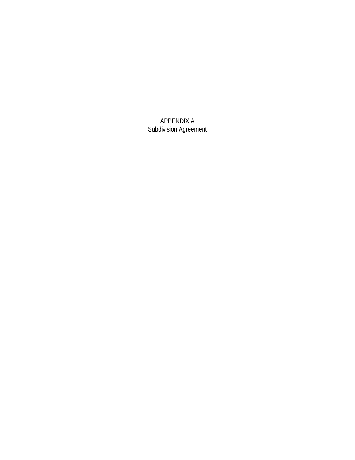APPENDIX A Subdivision Agreement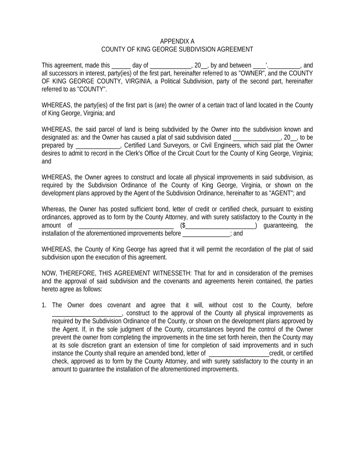#### APPENDIX A COUNTY OF KING GEORGE SUBDIVISION AGREEMENT

This agreement, made this day of the set of the set of the set of the set of the set of the set of the set of t all successors in interest, party(ies) of the first part, hereinafter referred to as "OWNER", and the COUNTY OF KING GEORGE COUNTY, VIRGINIA, a Political Subdivision, party of the second part, hereinafter referred to as "COUNTY".

WHEREAS, the party(ies) of the first part is (are) the owner of a certain tract of land located in the County of King George, Virginia; and

WHEREAS, the said parcel of land is being subdivided by the Owner into the subdivision known and designated as: and the Owner has caused a plat of said subdivision dated \_\_\_\_\_\_\_\_\_\_\_\_\_\_\_, 20\_\_, to be prepared by \_\_\_\_\_\_\_\_\_\_\_\_\_, Certified Land Surveyors, or Civil Engineers, which said plat the Owner desires to admit to record in the Clerk's Office of the Circuit Court for the County of King George, Virginia; and

WHEREAS, the Owner agrees to construct and locate all physical improvements in said subdivision, as required by the Subdivision Ordinance of the County of King George, Virginia, or shown on the development plans approved by the Agent of the Subdivision Ordinance, hereinafter to as "AGENT"; and

Whereas, the Owner has posted sufficient bond, letter of credit or certified check, pursuant to existing ordinances, approved as to form by the County Attorney, and with surety satisfactory to the County in the amount of \_\_\_\_\_\_\_\_\_\_\_\_\_\_\_\_\_\_\_\_\_\_\_\_\_\_\_\_\_\_ (\$\_\_\_\_\_\_\_\_\_\_\_\_\_\_\_\_\_\_\_\_\_\_) guaranteeing, the installation of the aforementioned improvements before \_\_\_\_\_\_\_\_\_\_\_\_\_\_\_; and

WHEREAS, the County of King George has agreed that it will permit the recordation of the plat of said subdivision upon the execution of this agreement.

NOW, THEREFORE, THIS AGREEMENT WITNESSETH: That for and in consideration of the premises and the approval of said subdivision and the covenants and agreements herein contained, the parties hereto agree as follows:

1. The Owner does covenant and agree that it will, without cost to the County, before \_\_\_\_\_\_\_\_\_\_\_\_\_\_\_\_\_\_\_\_\_\_, construct to the approval of the County all physical improvements as required by the Subdivision Ordinance of the County, or shown on the development plans approved by the Agent. If, in the sole judgment of the County, circumstances beyond the control of the Owner prevent the owner from completing the improvements in the time set forth herein, then the County may at its sole discretion grant an extension of time for completion of said improvements and in such instance the County shall require an amended bond, letter of \_\_\_\_\_\_\_\_\_\_\_\_\_\_\_\_\_\_\_credit, or certified check, approved as to form by the County Attorney, and with surety satisfactory to the county in an amount to guarantee the installation of the aforementioned improvements.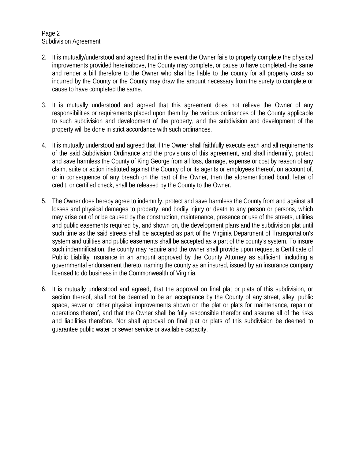## Page 2 Subdivision Agreement

- 2. It is mutually/understood and agreed that in the event the Owner fails to properly complete the physical improvements provided hereinabove, the County may complete, or cause to have completed,-the same and render a bill therefore to the Owner who shall be liable to the county for all property costs so incurred by the County or the County may draw the amount necessary from the surety to complete or cause to have completed the same.
- 3. It is mutually understood and agreed that this agreement does not relieve the Owner of any responsibilities or requirements placed upon them by the various ordinances of the County applicable to such subdivision and development of the property, and the subdivision and development of the property will be done in strict accordance with such ordinances.
- 4. It is mutually understood and agreed that if the Owner shall faithfully execute each and all requirements of the said Subdivision Ordinance and the provisions of this agreement, and shall indemnify, protect and save harmless the County of King George from all loss, damage, expense or cost by reason of any claim, suite or action instituted against the County of or its agents or employees thereof, on account of, or in consequence of any breach on the part of the Owner, then the aforementioned bond, letter of credit, or certified check, shall be released by the County to the Owner.
- 5. The Owner does hereby agree to indemnify, protect and save harmless the County from and against all losses and physical damages to property, and bodily injury or death to any person or persons, which may arise out of or be caused by the construction, maintenance, presence or use of the streets, utilities and public easements required by, and shown on, the development plans and the subdivision plat until such time as the said streets shall be accepted as part of the Virginia Department of Transportation's system and utilities and public easements shall be accepted as a part of the county's system. To insure such indemnification, the county may require and the owner shall provide upon request a Certificate of Public Liability Insurance in an amount approved by the County Attorney as sufficient, including a governmental endorsement thereto, naming the county as an insured, issued by an insurance company licensed to do business in the Commonwealth of Virginia.
- 6. It is mutually understood and agreed, that the approval on final plat or plats of this subdivision, or section thereof, shall not be deemed to be an acceptance by the County of any street, alley, public space, sewer or other physical improvements shown on the plat or plats for maintenance, repair or operations thereof, and that the Owner shall be fully responsible therefor and assume all of the risks and liabilities therefore. Nor shall approval on final plat or plats of this subdivision be deemed to guarantee public water or sewer service or available capacity.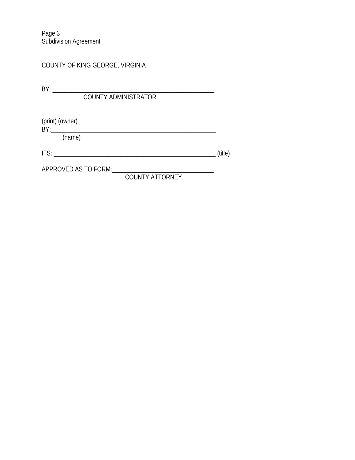Page 3 Subdivision Agreement

| COUNTY OF KING GEORGE, VIRGINIA                                                                                                                                                                                                |         |
|--------------------------------------------------------------------------------------------------------------------------------------------------------------------------------------------------------------------------------|---------|
| BY: $\qquad \qquad$<br><b>COUNTY ADMINISTRATOR</b>                                                                                                                                                                             |         |
| (print) (owner)<br>BY:                                                                                                                                                                                                         |         |
| (name)                                                                                                                                                                                                                         |         |
| ITS: the contract of the contract of the contract of the contract of the contract of the contract of the contract of the contract of the contract of the contract of the contract of the contract of the contract of the contr | (title) |
| APPROVED AS TO FORM:<br><b>COUNTY ATTORNEY</b>                                                                                                                                                                                 |         |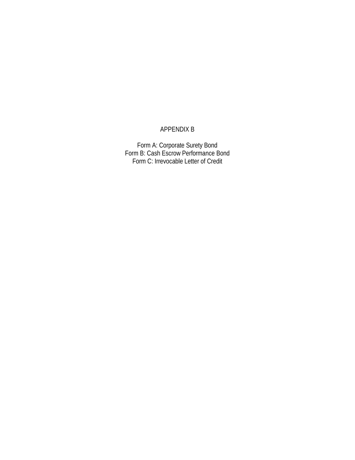# APPENDIX B

Form A: Corporate Surety Bond Form B: Cash Escrow Performance Bond Form C: Irrevocable Letter of Credit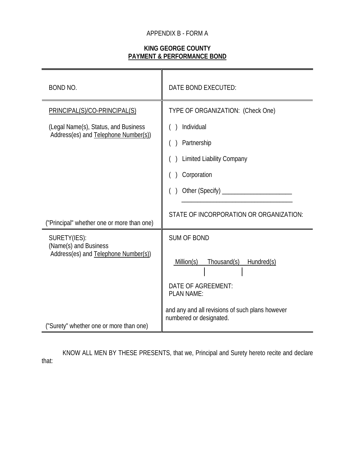# APPENDIX B - FORM A

# **KING GEORGE COUNTY PAYMENT & PERFORMANCE BOND**

| <b>BOND NO.</b>                                                              | DATE BOND EXECUTED:                                                        |
|------------------------------------------------------------------------------|----------------------------------------------------------------------------|
| PRINCIPAL(S)/CO-PRINCIPAL(S)                                                 | TYPE OF ORGANIZATION: (Check One)                                          |
| (Legal Name(s), Status, and Business<br>Address(es) and Telephone Number(s)) | Individual<br>( )<br>Partnership<br>$\left($                               |
|                                                                              | <b>Limited Liability Company</b><br>$\left($                               |
|                                                                              | Corporation<br>$\left($                                                    |
|                                                                              | $\left($                                                                   |
| ("Principal" whether one or more than one)                                   | STATE OF INCORPORATION OR ORGANIZATION:                                    |
| SURETY(IES):<br>(Name(s) and Business                                        | <b>SUM OF BOND</b>                                                         |
| Address(es) and Telephone Number(s))                                         | Million(s)<br>Thousand(s)<br>Hundred(s)                                    |
|                                                                              | <b>DATE OF AGREEMENT:</b><br><b>PLAN NAME:</b>                             |
|                                                                              | and any and all revisions of such plans however<br>numbered or designated. |
| ("Surety" whether one or more than one)                                      |                                                                            |

KNOW ALL MEN BY THESE PRESENTS, that we, Principal and Surety hereto recite and declare that: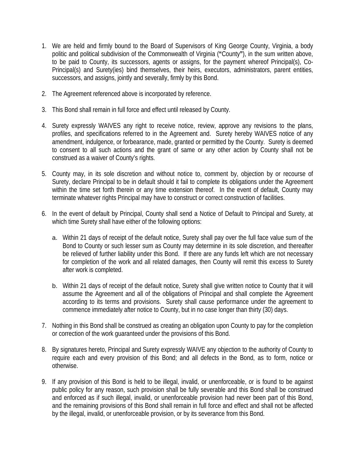- 1. We are held and firmly bound to the Board of Supervisors of King George County, Virginia, a body politic and political subdivision of the Commonwealth of Virginia (**"**County**"**), in the sum written above, to be paid to County, its successors, agents or assigns, for the payment whereof Principal(s), Co-Principal(s) and Surety(ies) bind themselves, their heirs, executors, administrators, parent entities, successors, and assigns, jointly and severally, firmly by this Bond.
- 2. The Agreement referenced above is incorporated by reference.
- 3. This Bond shall remain in full force and effect until released by County.
- 4. Surety expressly WAIVES any right to receive notice, review, approve any revisions to the plans, profiles, and specifications referred to in the Agreement and. Surety hereby WAIVES notice of any amendment, indulgence, or forbearance, made, granted or permitted by the County. Surety is deemed to consent to all such actions and the grant of same or any other action by County shall not be construed as a waiver of County's rights.
- 5. County may, in its sole discretion and without notice to, comment by, objection by or recourse of Surety, declare Principal to be in default should it fail to complete its obligations under the Agreement within the time set forth therein or any time extension thereof. In the event of default, County may terminate whatever rights Principal may have to construct or correct construction of facilities.
- 6. In the event of default by Principal, County shall send a Notice of Default to Principal and Surety, at which time Surety shall have either of the following options:
	- a. Within 21 days of receipt of the default notice, Surety shall pay over the full face value sum of the Bond to County or such lesser sum as County may determine in its sole discretion, and thereafter be relieved of further liability under this Bond. If there are any funds left which are not necessary for completion of the work and all related damages, then County will remit this excess to Surety after work is completed.
	- b. Within 21 days of receipt of the default notice, Surety shall give written notice to County that it will assume the Agreement and all of the obligations of Principal and shall complete the Agreement according to its terms and provisions. Surety shall cause performance under the agreement to commence immediately after notice to County, but in no case longer than thirty (30) days.
- 7. Nothing in this Bond shall be construed as creating an obligation upon County to pay for the completion or correction of the work guaranteed under the provisions of this Bond.
- 8. By signatures hereto, Principal and Surety expressly WAIVE any objection to the authority of County to require each and every provision of this Bond; and all defects in the Bond, as to form, notice or otherwise.
- 9. If any provision of this Bond is held to be illegal, invalid, or unenforceable, or is found to be against public policy for any reason, such provision shall be fully severable and this Bond shall be construed and enforced as if such illegal, invalid, or unenforceable provision had never been part of this Bond, and the remaining provisions of this Bond shall remain in full force and effect and shall not be affected by the illegal, invalid, or unenforceable provision, or by its severance from this Bond.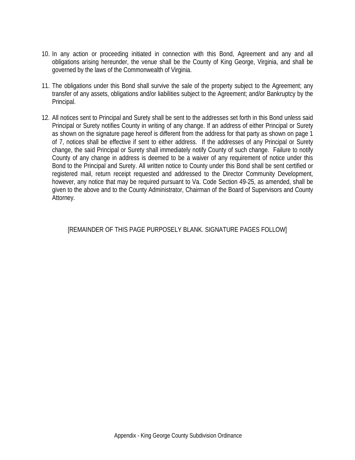- 10. In any action or proceeding initiated in connection with this Bond, Agreement and any and all obligations arising hereunder, the venue shall be the County of King George, Virginia, and shall be governed by the laws of the Commonwealth of Virginia.
- 11. The obligations under this Bond shall survive the sale of the property subject to the Agreement; any transfer of any assets, obligations and/or liabilities subject to the Agreement; and/or Bankruptcy by the Principal.
- 12. All notices sent to Principal and Surety shall be sent to the addresses set forth in this Bond unless said Principal or Surety notifies County in writing of any change. If an address of either Principal or Surety as shown on the signature page hereof is different from the address for that party as shown on page 1 of 7, notices shall be effective if sent to either address. If the addresses of any Principal or Surety change, the said Principal or Surety shall immediately notify County of such change. Failure to notify County of any change in address is deemed to be a waiver of any requirement of notice under this Bond to the Principal and Surety. All written notice to County under this Bond shall be sent certified or registered mail, return receipt requested and addressed to the Director Community Development, however, any notice that may be required pursuant to Va. Code Section 49-25, as amended, shall be given to the above and to the County Administrator, Chairman of the Board of Supervisors and County Attorney.

# [REMAINDER OF THIS PAGE PURPOSELY BLANK. SIGNATURE PAGES FOLLOW]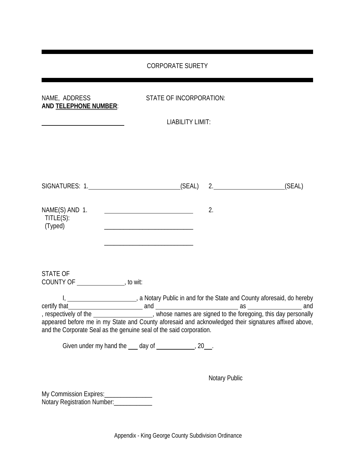# CORPORATE SURETY

| NAME, ADDRESS<br><b>AND TELEPHONE NUMBER:</b> | STATE OF INCORPORATION:                                                                                                                                                     |               |  |  |  |  |
|-----------------------------------------------|-----------------------------------------------------------------------------------------------------------------------------------------------------------------------------|---------------|--|--|--|--|
|                                               | <b>LIABILITY LIMIT:</b>                                                                                                                                                     |               |  |  |  |  |
|                                               |                                                                                                                                                                             |               |  |  |  |  |
|                                               |                                                                                                                                                                             |               |  |  |  |  |
|                                               |                                                                                                                                                                             |               |  |  |  |  |
|                                               | SIGNATURES: 1. _______________________________(SEAL) 2. _______________________(SEAL)                                                                                       |               |  |  |  |  |
| TITLE(S):<br>(Typed)                          | NAME(S) AND 1.                                                                                                                                                              | 2.            |  |  |  |  |
|                                               |                                                                                                                                                                             |               |  |  |  |  |
| STATE OF                                      |                                                                                                                                                                             |               |  |  |  |  |
|                                               |                                                                                                                                                                             |               |  |  |  |  |
|                                               | appeared before me in my State and County aforesaid and acknowledged their signatures affixed above,<br>and the Corporate Seal as the genuine seal of the said corporation. |               |  |  |  |  |
|                                               | Given under my hand the ___ day of _______________, 20___.                                                                                                                  |               |  |  |  |  |
|                                               |                                                                                                                                                                             | Notary Public |  |  |  |  |

My Commission Expires:\_\_\_\_\_\_\_\_\_\_\_\_\_\_\_\_ Notary Registration Number: \_\_\_\_\_\_\_\_\_\_\_\_\_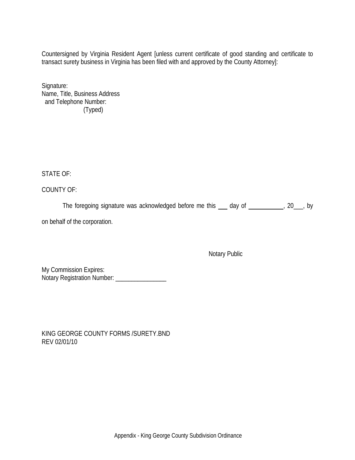Countersigned by Virginia Resident Agent [unless current certificate of good standing and certificate to transact surety business in Virginia has been filed with and approved by the County Attorney]:

Signature: Name, Title, Business Address and Telephone Number: (Typed)

STATE OF:

COUNTY OF:

The foregoing signature was acknowledged before me this  $\_\_\_$  day of  $\_\_\_\_\_\_\$ , 20 $\_\_\_\$ , by on behalf of the corporation.

Notary Public

My Commission Expires: Notary Registration Number: \_\_\_\_\_\_\_\_\_\_\_\_\_\_\_\_\_

KING GEORGE COUNTY FORMS /SURETY.BND REV 02/01/10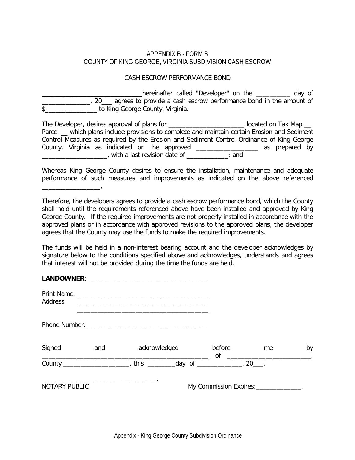#### APPENDIX B - FORM B COUNTY OF KING GEORGE, VIRGINIA SUBDIVISION CASH ESCROW

#### CASH ESCROW PERFORMANCE BOND

|   |                                                                   | hereinafter called "Developer" on the | day of |
|---|-------------------------------------------------------------------|---------------------------------------|--------|
|   | agrees to provide a cash escrow performance bond in the amount of |                                       |        |
| J | to King George County, Virginia.                                  |                                       |        |

|                                               |  |                              |                                                                                                          | located on Tax Map $\mu$ |  |
|-----------------------------------------------|--|------------------------------|----------------------------------------------------------------------------------------------------------|--------------------------|--|
|                                               |  |                              | Parcel <sub>—</sub> which plans include provisions to complete and maintain certain Erosion and Sediment |                          |  |
|                                               |  |                              | Control Measures as required by the Erosion and Sediment Control Ordinance of King George                |                          |  |
| County, Virginia as indicated on the approved |  |                              |                                                                                                          | as prepared by           |  |
|                                               |  | with a last revision date of | $:$ and                                                                                                  |                          |  |

Whereas King George County desires to ensure the installation, maintenance and adequate performance of such measures and improvements as indicated on the above referenced

\_\_\_\_\_\_\_\_\_\_\_\_\_\_\_\_\_,

Therefore, the developers agrees to provide a cash escrow performance bond, which the County shall hold until the requirements referenced above have been installed and approved by King George County. If the required improvements are not properly installed in accordance with the approved plans or in accordance with approved revisions to the approved plans, the developer agrees that the County may use the funds to make the required improvements.

The funds will be held in a non-interest bearing account and the developer acknowledges by signature below to the conditions specified above and acknowledges, understands and agrees that interest will not be provided during the time the funds are held.

| Address:             |     |              | <u> 2002 - Jan James James James James James James James James James James James James James James James James J</u> |                                                                                      |    |    |
|----------------------|-----|--------------|----------------------------------------------------------------------------------------------------------------------|--------------------------------------------------------------------------------------|----|----|
|                      |     |              |                                                                                                                      |                                                                                      |    |    |
| Signed               | and | acknowledged |                                                                                                                      | before<br>0f                                                                         | me | by |
|                      |     |              |                                                                                                                      | County _________________________, this ______________day of _______________, 20____. |    |    |
| <b>NOTARY PUBLIC</b> |     |              |                                                                                                                      | My Commission Expires:______________.                                                |    |    |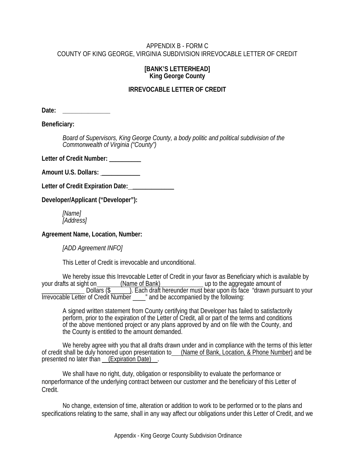#### APPENDIX B - FORM C COUNTY OF KING GEORGE, VIRGINIA SUBDIVISION IRREVOCABLE LETTER OF CREDIT

#### **[BANK'S LETTERHEAD] King George County**

# **IRREVOCABLE LETTER OF CREDIT**

**Date: \_\_\_\_\_\_\_\_\_\_\_\_\_\_\_**

**Beneficiary:** 

*Board of Supervisors, King George County, a body politic and political subdivision of the Commonwealth of Virginia ("County")*

**Letter of Credit Number: \_\_\_\_\_\_\_\_\_\_** 

**Amount U.S. Dollars: \_\_\_\_\_\_\_\_\_\_\_\_** 

Letter of Credit Expiration Date:

**Developer/Applicant ("Developer"):** 

*[Name] [Address]*

**Agreement Name, Location, Number:** 

*[ADD Agreement INFO]* 

This Letter of Credit is irrevocable and unconditional.

We hereby issue this Irrevocable Letter of Credit in your favor as Beneficiary which is available by your drafts at sight on (Name of Bank) up to the aggregate amount of understanding up to the aggregate amount of  $\frac{N}{2}$ . Each draft hereunder must bear upon its face "drawn pursuant to your Irrevocable Letter of Credit Number \_\_\_\_" and be accompanied by the following:

A signed written statement from County certifying that Developer has failed to satisfactorily perform, prior to the expiration of the Letter of Credit, all or part of the terms and conditions of the above mentioned project or any plans approved by and on file with the County, and the County is entitled to the amount demanded.

We hereby agree with you that all drafts drawn under and in compliance with the terms of this letter of credit shall be duly honored upon presentation to (Name of Bank, Location, & Phone Number) and be presented no later than (Expiration Date).

We shall have no right, duty, obligation or responsibility to evaluate the performance or nonperformance of the underlying contract between our customer and the beneficiary of this Letter of Credit.

No change, extension of time, alteration or addition to work to be performed or to the plans and specifications relating to the same, shall in any way affect our obligations under this Letter of Credit, and we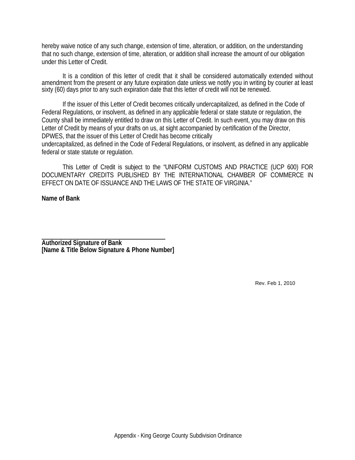hereby waive notice of any such change, extension of time, alteration, or addition, on the understanding that no such change, extension of time, alteration, or addition shall increase the amount of our obligation under this Letter of Credit.

It is a condition of this letter of credit that it shall be considered automatically extended without amendment from the present or any future expiration date unless we notify you in writing by courier at least sixty (60) days prior to any such expiration date that this letter of credit will not be renewed.

If the issuer of this Letter of Credit becomes critically undercapitalized, as defined in the Code of Federal Regulations, or insolvent, as defined in any applicable federal or state statute or regulation, the County shall be immediately entitled to draw on this Letter of Credit. In such event, you may draw on this Letter of Credit by means of your drafts on us, at sight accompanied by certification of the Director, DPWES, that the issuer of this Letter of Credit has become critically

undercapitalized, as defined in the Code of Federal Regulations, or insolvent, as defined in any applicable federal or state statute or regulation.

This Letter of Credit is subject to the "UNIFORM CUSTOMS AND PRACTICE (UCP 600) FOR DOCUMENTARY CREDITS PUBLISHED BY THE INTERNATIONAL CHAMBER OF COMMERCE IN EFFECT ON DATE OF ISSUANCE AND THE LAWS OF THE STATE OF VIRGINIA."

**Name of Bank**

**\_\_\_\_\_\_\_\_\_\_\_\_\_\_\_\_\_\_\_\_\_\_\_\_\_\_\_\_\_\_\_\_\_\_\_\_\_\_\_ Authorized Signature of Bank [Name & Title Below Signature & Phone Number]** 

Rev. Feb 1, 2010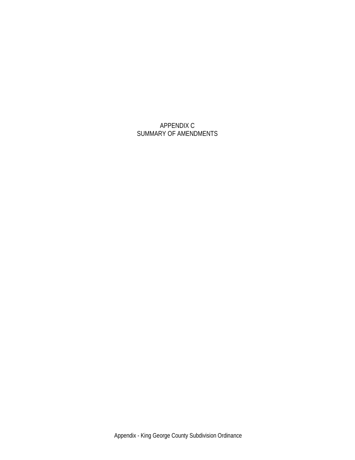# APPENDIX C SUMMARY OF AMENDMENTS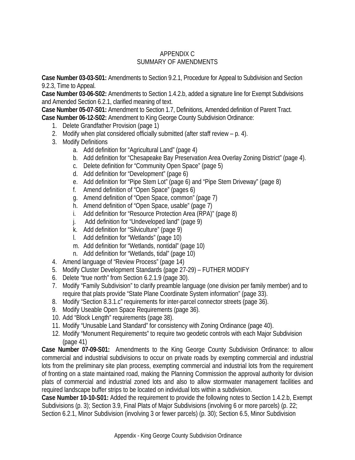# APPENDIX C SUMMARY OF AMENDMENTS

**Case Number 03-03-S01:** Amendments to Section 9.2.1, Procedure for Appeal to Subdivision and Section 9.2.3, Time to Appeal.

**Case Number 03-06-S02:** Amendments to Section 1.4.2.b, added a signature line for Exempt Subdivisions and Amended Section 6.2.1, clarified meaning of text.

**Case Number 05-07-S01:** Amendment to Section 1.7, Definitions, Amended definition of Parent Tract.

**Case Number 06-12-S02:** Amendment to King George County Subdivision Ordinance:

- 1. Delete Grandfather Provision (page 1)
- 2. Modify when plat considered officially submitted (after staff review p. 4).
- 3. Modify Definitions
	- a. Add definition for "Agricultural Land" (page 4)
	- b. Add definition for "Chesapeake Bay Preservation Area Overlay Zoning District" (page 4).
	- c. Delete definition for "Community Open Space" (page 5)
	- d. Add definition for "Development" (page 6)
	- e. Add definition for "Pipe Stem Lot" (page 6) and "Pipe Stem Driveway" (page 8)
	- f. Amend definition of "Open Space" (pages 6)
	- g. Amend definition of "Open Space, common" (page 7)
	- h. Amend definition of "Open Space, usable" (page 7)
	- i. Add definition for "Resource Protection Area (RPA)" (page 8)
	- j. Add definition for "Undeveloped land" (page 9)
	- k. Add definition for "Silviculture" (page 9)
	- l. Add definition for "Wetlands" (page 10)
	- m. Add definition for "Wetlands, nontidal" (page 10)
	- n. Add definition for "Wetlands, tidal" (page 10)
- 4. Amend language of "Review Process" (page 14)
- 5. Modify Cluster Development Standards (page 27-29) FUTHER MODIFY
- 6. Delete "true north" from Section 6.2.1.9 (page 30).
- 7. Modify "Family Subdivision" to clarify preamble language (one division per family member) and to require that plats provide "State Plane Coordinate System information" (page 33).
- 8. Modify "Section 8.3.1.c" requirements for inter-parcel connector streets (page 36).
- 9. Modify Useable Open Space Requirements (page 36).
- 10. Add "Block Length" requirements (page 38).
- 11. Modify "Unusable Land Standard" for consistency with Zoning Ordinance (page 40).
- 12. Modify "Monument Requirements" to require two geodetic controls with each Major Subdivision (page 41)

**Case Number 07-09-S01:** Amendments to the King George County Subdivision Ordinance: to allow commercial and industrial subdivisions to occur on private roads by exempting commercial and industrial lots from the preliminary site plan process, exempting commercial and industrial lots from the requirement of fronting on a state maintained road, making the Planning Commission the approval authority for division plats of commercial and industrial zoned lots and also to allow stormwater management facilities and required landscape buffer strips to be located on individual lots within a subdivision.

**Case Number 10-10-S01:** Added the requirement to provide the following notes to Section 1.4.2.b, Exempt Subdivisions (p. 3); Section 3.9, Final Plats of Major Subdivisions (involving 6 or more parcels) (p. 22;

Section 6.2.1, Minor Subdivision (involving 3 or fewer parcels) (p. 30); Section 6.5, Minor Subdivision